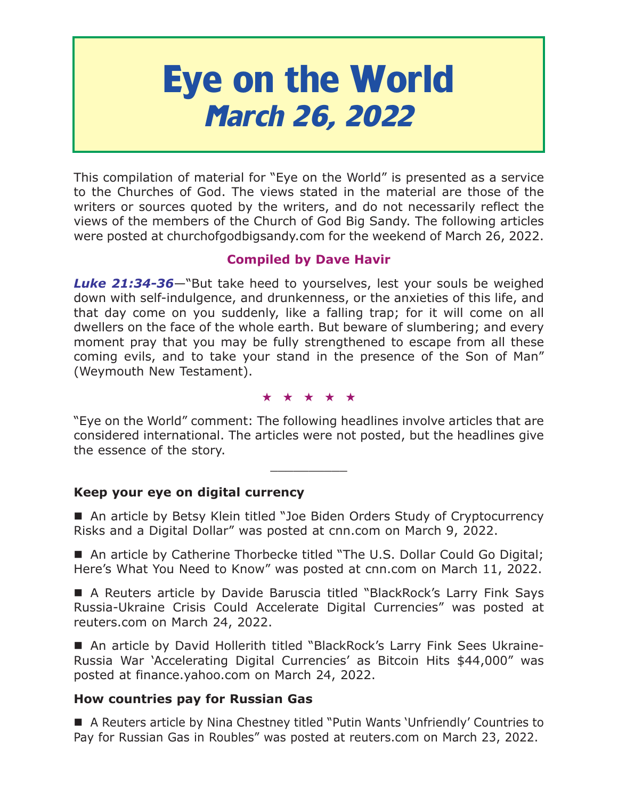# **Eye on the World March 26, 2022**

This compilation of material for "Eye on the World" is presented as a service to the Churches of God. The views stated in the material are those of the writers or sources quoted by the writers, and do not necessarily reflect the views of the members of the Church of God Big Sandy. The following articles were posted at churchofgodbigsandy.com for the weekend of March 26, 2022.

# **Compiled by Dave Havir**

*Luke 21:34-36*—"But take heed to yourselves, lest your souls be weighed down with self-indulgence, and drunkenness, or the anxieties of this life, and that day come on you suddenly, like a falling trap; for it will come on all dwellers on the face of the whole earth. But beware of slumbering; and every moment pray that you may be fully strengthened to escape from all these coming evils, and to take your stand in the presence of the Son of Man" (Weymouth New Testament).

★★★★★

"Eye on the World" comment: The following headlines involve articles that are considered international. The articles were not posted, but the headlines give the essence of the story.

 $\overline{\phantom{a}}$  , where  $\overline{\phantom{a}}$ 

# **Keep your eye on digital currency**

■ An article by Betsy Klein titled "Joe Biden Orders Study of Cryptocurrency Risks and a Digital Dollar" was posted at cnn.com on March 9, 2022.

■ An article by Catherine Thorbecke titled "The U.S. Dollar Could Go Digital; Here's What You Need to Know" was posted at cnn.com on March 11, 2022.

■ A Reuters article by Davide Baruscia titled "BlackRock's Larry Fink Says Russia-Ukraine Crisis Could Accelerate Digital Currencies" was posted at reuters.com on March 24, 2022.

■ An article by David Hollerith titled "BlackRock's Larry Fink Sees Ukraine-Russia War 'Accelerating Digital Currencies' as Bitcoin Hits \$44,000" was posted at finance.yahoo.com on March 24, 2022.

# **How countries pay for Russian Gas**

 A Reuters article by Nina Chestney titled "Putin Wants 'Unfriendly' Countries to Pay for Russian Gas in Roubles" was posted at reuters.com on March 23, 2022.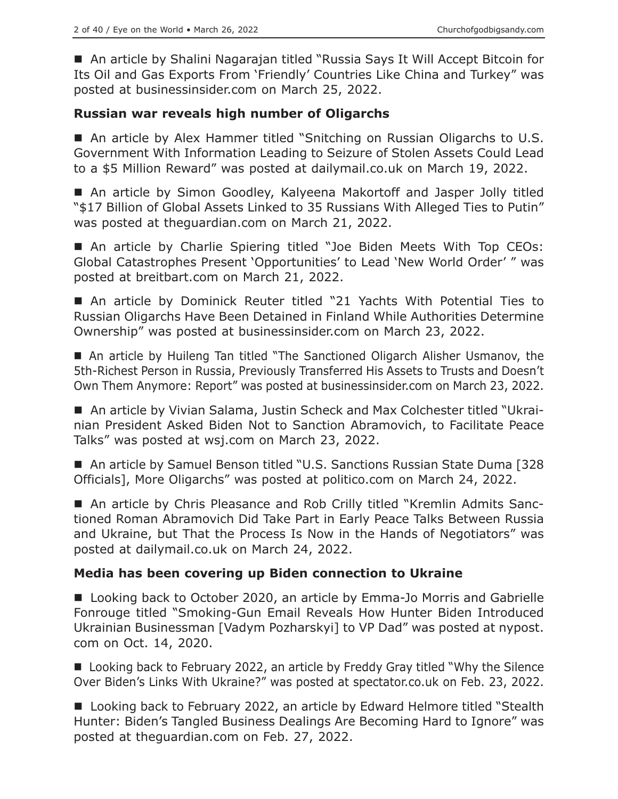■ An article by Shalini Nagarajan titled "Russia Says It Will Accept Bitcoin for Its Oil and Gas Exports From 'Friendly' Countries Like China and Turkey" was posted at businessinsider.com on March 25, 2022.

# **Russian war reveals high number of Oligarchs**

■ An article by Alex Hammer titled "Snitching on Russian Oligarchs to U.S. Government With Information Leading to Seizure of Stolen Assets Could Lead to a \$5 Million Reward" was posted at dailymail.co.uk on March 19, 2022.

■ An article by Simon Goodley, Kalyeena Makortoff and Jasper Jolly titled "\$17 Billion of Global Assets Linked to 35 Russians With Alleged Ties to Putin" was posted at theguardian.com on March 21, 2022.

 An article by Charlie Spiering titled "Joe Biden Meets With Top CEOs: Global Catastrophes Present 'Opportunities' to Lead 'New World Order' " was posted at breitbart.com on March 21, 2022.

 An article by Dominick Reuter titled "21 Yachts With Potential Ties to Russian Oligarchs Have Been Detained in Finland While Authorities Determine Ownership" was posted at businessinsider.com on March 23, 2022.

 An article by Huileng Tan titled "The Sanctioned Oligarch Alisher Usmanov, the 5th-Richest Person in Russia, Previously Transferred His Assets to Trusts and Doesn't Own Them Anymore: Report" was posted at businessinsider.com on March 23, 2022.

 An article by Vivian Salama, Justin Scheck and Max Colchester titled "Ukrainian President Asked Biden Not to Sanction Abramovich, to Facilitate Peace Talks" was posted at wsj.com on March 23, 2022.

■ An article by Samuel Benson titled "U.S. Sanctions Russian State Duma [328] Officials], More Oligarchs" was posted at politico.com on March 24, 2022.

■ An article by Chris Pleasance and Rob Crilly titled "Kremlin Admits Sanctioned Roman Abramovich Did Take Part in Early Peace Talks Between Russia and Ukraine, but That the Process Is Now in the Hands of Negotiators" was posted at dailymail.co.uk on March 24, 2022.

# **Media has been covering up Biden connection to Ukraine**

■ Looking back to October 2020, an article by Emma-Jo Morris and Gabrielle Fonrouge titled "Smoking-Gun Email Reveals How Hunter Biden Introduced Ukrainian Businessman [Vadym Pozharskyi] to VP Dad" was posted at nypost. com on Oct. 14, 2020.

■ Looking back to February 2022, an article by Freddy Gray titled "Why the Silence Over Biden's Links With Ukraine?" was posted at spectator.co.uk on Feb. 23, 2022.

■ Looking back to February 2022, an article by Edward Helmore titled "Stealth Hunter: Biden's Tangled Business Dealings Are Becoming Hard to Ignore" was posted at theguardian.com on Feb. 27, 2022.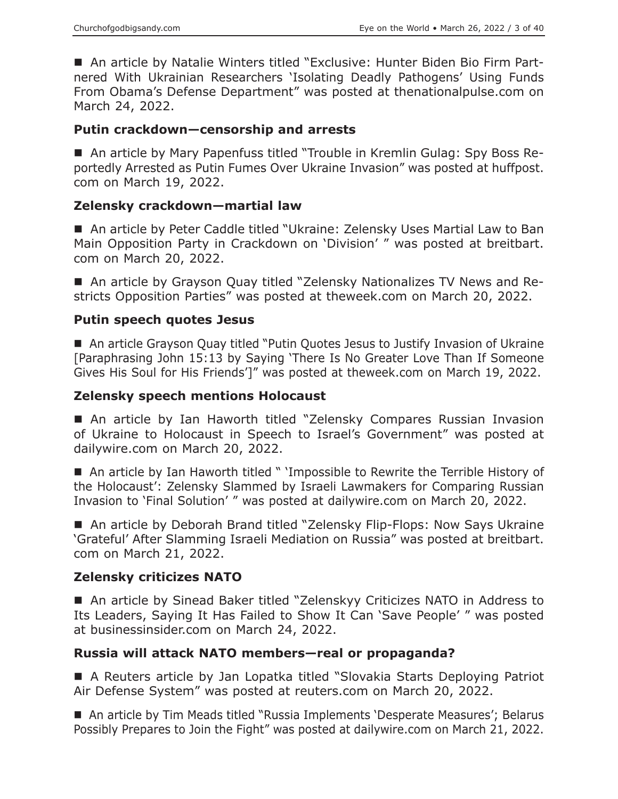An article by Natalie Winters titled "Exclusive: Hunter Biden Bio Firm Partnered With Ukrainian Researchers 'Isolating Deadly Pathogens' Using Funds From Obama's Defense Department" was posted at thenationalpulse.com on March 24, 2022.

## **Putin crackdown—censorship and arrests**

 An article by Mary Papenfuss titled "Trouble in Kremlin Gulag: Spy Boss Reportedly Arrested as Putin Fumes Over Ukraine Invasion" was posted at huffpost. com on March 19, 2022.

## **Zelensky crackdown—martial law**

■ An article by Peter Caddle titled "Ukraine: Zelensky Uses Martial Law to Ban Main Opposition Party in Crackdown on 'Division' " was posted at breitbart. com on March 20, 2022.

 An article by Grayson Quay titled "Zelensky Nationalizes TV News and Restricts Opposition Parties" was posted at theweek.com on March 20, 2022.

## **Putin speech quotes Jesus**

■ An article Grayson Quay titled "Putin Quotes Jesus to Justify Invasion of Ukraine [Paraphrasing John 15:13 by Saying 'There Is No Greater Love Than If Someone Gives His Soul for His Friends']" was posted at theweek.com on March 19, 2022.

#### **Zelensky speech mentions Holocaust**

 An article by Ian Haworth titled "Zelensky Compares Russian Invasion of Ukraine to Holocaust in Speech to Israel's Government" was posted at dailywire.com on March 20, 2022.

■ An article by Ian Haworth titled " 'Impossible to Rewrite the Terrible History of the Holocaust': Zelensky Slammed by Israeli Lawmakers for Comparing Russian Invasion to 'Final Solution' " was posted at dailywire.com on March 20, 2022.

■ An article by Deborah Brand titled "Zelensky Flip-Flops: Now Says Ukraine 'Grateful' After Slamming Israeli Mediation on Russia" was posted at breitbart. com on March 21, 2022.

## **Zelensky criticizes NATO**

■ An article by Sinead Baker titled "Zelenskyy Criticizes NATO in Address to Its Leaders, Saying It Has Failed to Show It Can 'Save People' " was posted at businessinsider.com on March 24, 2022.

## **Russia will attack NATO members—real or propaganda?**

 A Reuters article by Jan Lopatka titled "Slovakia Starts Deploying Patriot Air Defense System" was posted at reuters.com on March 20, 2022.

■ An article by Tim Meads titled "Russia Implements 'Desperate Measures'; Belarus Possibly Prepares to Join the Fight" was posted at dailywire.com on March 21, 2022.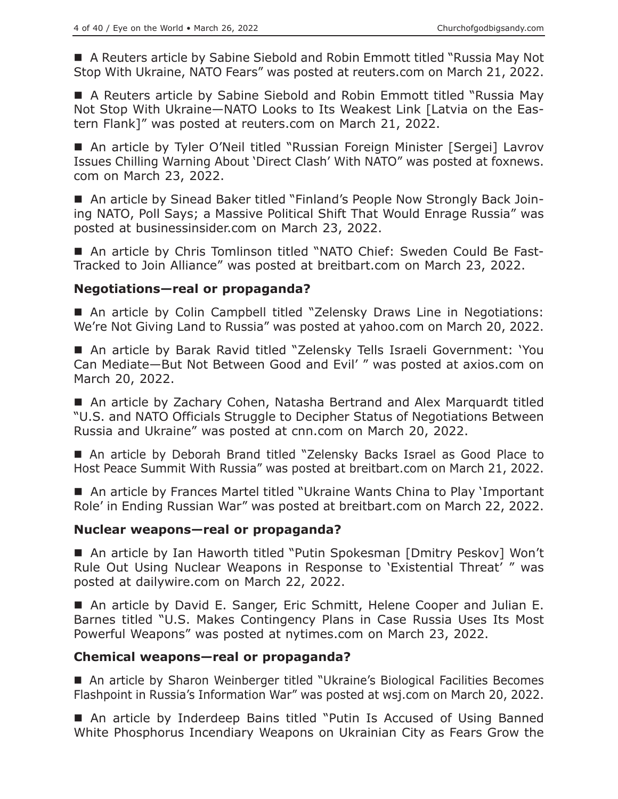A Reuters article by Sabine Siebold and Robin Emmott titled "Russia May Not Stop With Ukraine, NATO Fears" was posted at reuters.com on March 21, 2022.

 A Reuters article by Sabine Siebold and Robin Emmott titled "Russia May Not Stop With Ukraine—NATO Looks to Its Weakest Link [Latvia on the Eastern Flank]" was posted at reuters.com on March 21, 2022.

■ An article by Tyler O'Neil titled "Russian Foreign Minister [Sergei] Lavrov Issues Chilling Warning About 'Direct Clash' With NATO" was posted at foxnews. com on March 23, 2022.

■ An article by Sinead Baker titled "Finland's People Now Strongly Back Joining NATO, Poll Says; a Massive Political Shift That Would Enrage Russia" was posted at businessinsider.com on March 23, 2022.

 An article by Chris Tomlinson titled "NATO Chief: Sweden Could Be Fast-Tracked to Join Alliance" was posted at breitbart.com on March 23, 2022.

# **Negotiations—real or propaganda?**

■ An article by Colin Campbell titled "Zelensky Draws Line in Negotiations: We're Not Giving Land to Russia" was posted at yahoo.com on March 20, 2022.

 An article by Barak Ravid titled "Zelensky Tells Israeli Government: 'You Can Mediate—But Not Between Good and Evil' " was posted at axios.com on March 20, 2022.

■ An article by Zachary Cohen, Natasha Bertrand and Alex Marquardt titled "U.S. and NATO Officials Struggle to Decipher Status of Negotiations Between Russia and Ukraine" was posted at cnn.com on March 20, 2022.

■ An article by Deborah Brand titled "Zelensky Backs Israel as Good Place to Host Peace Summit With Russia" was posted at breitbart.com on March 21, 2022.

■ An article by Frances Martel titled "Ukraine Wants China to Play 'Important Role' in Ending Russian War" was posted at breitbart.com on March 22, 2022.

## **Nuclear weapons—real or propaganda?**

■ An article by Ian Haworth titled "Putin Spokesman [Dmitry Peskov] Won't Rule Out Using Nuclear Weapons in Response to 'Existential Threat' " was posted at dailywire.com on March 22, 2022.

■ An article by David E. Sanger, Eric Schmitt, Helene Cooper and Julian E. Barnes titled "U.S. Makes Contingency Plans in Case Russia Uses Its Most Powerful Weapons" was posted at nytimes.com on March 23, 2022.

# **Chemical weapons—real or propaganda?**

■ An article by Sharon Weinberger titled "Ukraine's Biological Facilities Becomes Flashpoint in Russia's Information War" was posted at wsj.com on March 20, 2022.

■ An article by Inderdeep Bains titled "Putin Is Accused of Using Banned White Phosphorus Incendiary Weapons on Ukrainian City as Fears Grow the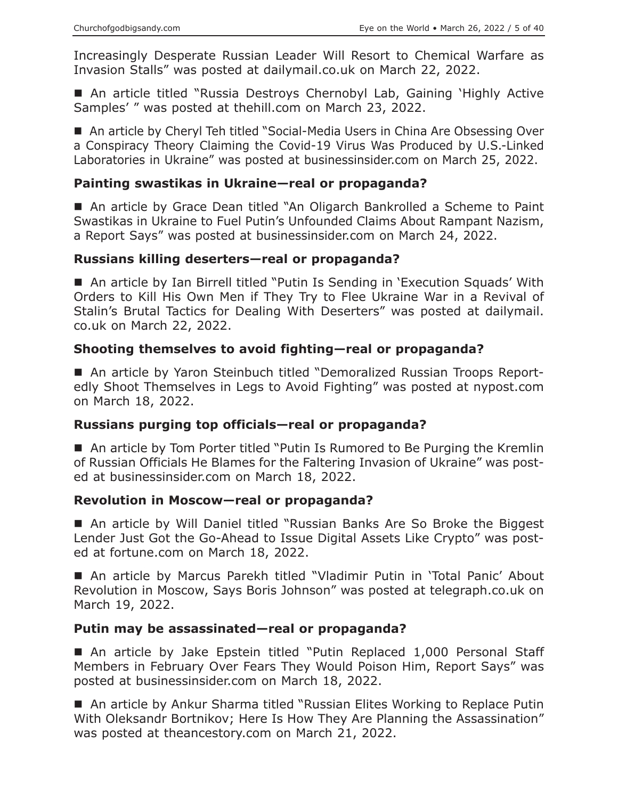Increasingly Desperate Russian Leader Will Resort to Chemical Warfare as Invasion Stalls" was posted at dailymail.co.uk on March 22, 2022.

■ An article titled "Russia Destroys Chernobyl Lab, Gaining 'Highly Active Samples' " was posted at thehill.com on March 23, 2022.

■ An article by Cheryl Teh titled "Social-Media Users in China Are Obsessing Over a Conspiracy Theory Claiming the Covid-19 Virus Was Produced by U.S.-Linked Laboratories in Ukraine" was posted at businessinsider.com on March 25, 2022.

## **Painting swastikas in Ukraine—real or propaganda?**

■ An article by Grace Dean titled "An Oligarch Bankrolled a Scheme to Paint Swastikas in Ukraine to Fuel Putin's Unfounded Claims About Rampant Nazism, a Report Says" was posted at businessinsider.com on March 24, 2022.

# **Russians killing deserters—real or propaganda?**

■ An article by Ian Birrell titled "Putin Is Sending in 'Execution Squads' With Orders to Kill His Own Men if They Try to Flee Ukraine War in a Revival of Stalin's Brutal Tactics for Dealing With Deserters" was posted at dailymail. co.uk on March 22, 2022.

# **Shooting themselves to avoid fighting—real or propaganda?**

■ An article by Yaron Steinbuch titled "Demoralized Russian Troops Reportedly Shoot Themselves in Legs to Avoid Fighting" was posted at nypost.com on March 18, 2022.

# **Russians purging top officials—real or propaganda?**

■ An article by Tom Porter titled "Putin Is Rumored to Be Purging the Kremlin of Russian Officials He Blames for the Faltering Invasion of Ukraine" was posted at businessinsider.com on March 18, 2022.

## **Revolution in Moscow—real or propaganda?**

■ An article by Will Daniel titled "Russian Banks Are So Broke the Biggest Lender Just Got the Go-Ahead to Issue Digital Assets Like Crypto" was posted at fortune.com on March 18, 2022.

 An article by Marcus Parekh titled "Vladimir Putin in 'Total Panic' About Revolution in Moscow, Says Boris Johnson" was posted at telegraph.co.uk on March 19, 2022.

## **Putin may be assassinated—real or propaganda?**

■ An article by Jake Epstein titled "Putin Replaced 1,000 Personal Staff Members in February Over Fears They Would Poison Him, Report Says" was posted at businessinsider.com on March 18, 2022.

■ An article by Ankur Sharma titled "Russian Elites Working to Replace Putin With Oleksandr Bortnikov; Here Is How They Are Planning the Assassination" was posted at theancestory.com on March 21, 2022.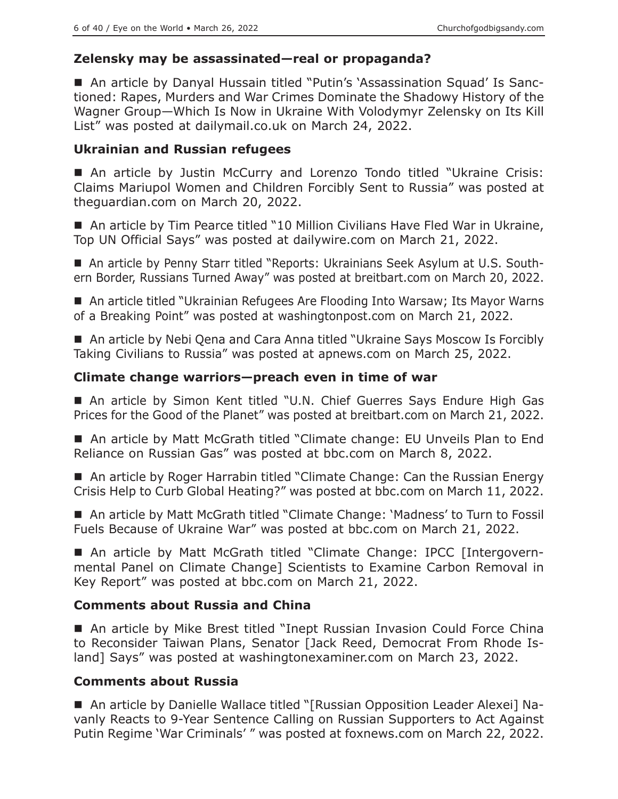# **Zelensky may be assassinated—real or propaganda?**

 An article by Danyal Hussain titled "Putin's 'Assassination Squad' Is Sanctioned: Rapes, Murders and War Crimes Dominate the Shadowy History of the Wagner Group—Which Is Now in Ukraine With Volodymyr Zelensky on Its Kill List" was posted at dailymail.co.uk on March 24, 2022.

# **Ukrainian and Russian refugees**

■ An article by Justin McCurry and Lorenzo Tondo titled "Ukraine Crisis: Claims Mariupol Women and Children Forcibly Sent to Russia" was posted at theguardian.com on March 20, 2022.

■ An article by Tim Pearce titled "10 Million Civilians Have Fled War in Ukraine, Top UN Official Says" was posted at dailywire.com on March 21, 2022.

 An article by Penny Starr titled "Reports: Ukrainians Seek Asylum at U.S. Southern Border, Russians Turned Away" was posted at breitbart.com on March 20, 2022.

■ An article titled "Ukrainian Refugees Are Flooding Into Warsaw; Its Mayor Warns of a Breaking Point" was posted at washingtonpost.com on March 21, 2022.

■ An article by Nebi Qena and Cara Anna titled "Ukraine Says Moscow Is Forcibly Taking Civilians to Russia" was posted at apnews.com on March 25, 2022.

# **Climate change warriors—preach even in time of war**

■ An article by Simon Kent titled "U.N. Chief Guerres Says Endure High Gas Prices for the Good of the Planet" was posted at breitbart.com on March 21, 2022.

■ An article by Matt McGrath titled "Climate change: EU Unveils Plan to End Reliance on Russian Gas" was posted at bbc.com on March 8, 2022.

■ An article by Roger Harrabin titled "Climate Change: Can the Russian Energy Crisis Help to Curb Global Heating?" was posted at bbc.com on March 11, 2022.

■ An article by Matt McGrath titled "Climate Change: 'Madness' to Turn to Fossil Fuels Because of Ukraine War" was posted at bbc.com on March 21, 2022.

■ An article by Matt McGrath titled "Climate Change: IPCC [Intergovernmental Panel on Climate Change] Scientists to Examine Carbon Removal in Key Report" was posted at bbc.com on March 21, 2022.

# **Comments about Russia and China**

■ An article by Mike Brest titled "Inept Russian Invasion Could Force China to Reconsider Taiwan Plans, Senator [Jack Reed, Democrat From Rhode Island] Says" was posted at washingtonexaminer.com on March 23, 2022.

# **Comments about Russia**

 An article by Danielle Wallace titled "[Russian Opposition Leader Alexei] Navanly Reacts to 9-Year Sentence Calling on Russian Supporters to Act Against Putin Regime 'War Criminals' " was posted at foxnews.com on March 22, 2022.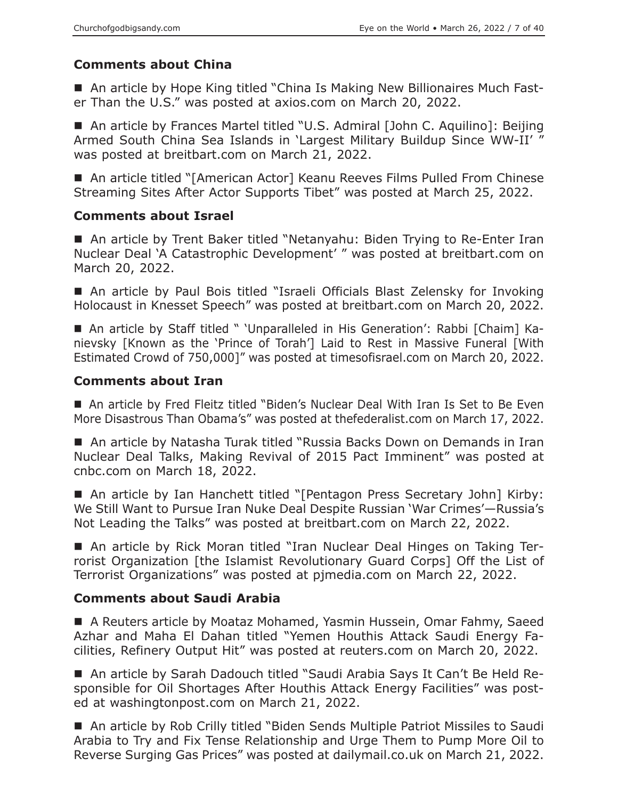# **Comments about China**

■ An article by Hope King titled "China Is Making New Billionaires Much Faster Than the U.S." was posted at axios.com on March 20, 2022.

 An article by Frances Martel titled "U.S. Admiral [John C. Aquilino]: Beijing Armed South China Sea Islands in 'Largest Military Buildup Since WW-II' " was posted at breitbart.com on March 21, 2022.

■ An article titled "[American Actor] Keanu Reeves Films Pulled From Chinese Streaming Sites After Actor Supports Tibet" was posted at March 25, 2022.

# **Comments about Israel**

■ An article by Trent Baker titled "Netanyahu: Biden Trying to Re-Enter Iran Nuclear Deal 'A Catastrophic Development' " was posted at breitbart.com on March 20, 2022.

 An article by Paul Bois titled "Israeli Officials Blast Zelensky for Invoking Holocaust in Knesset Speech" was posted at breitbart.com on March 20, 2022.

 An article by Staff titled " 'Unparalleled in His Generation': Rabbi [Chaim] Kanievsky [Known as the 'Prince of Torah'] Laid to Rest in Massive Funeral [With Estimated Crowd of 750,000]" was posted at timesofisrael.com on March 20, 2022.

# **Comments about Iran**

■ An article by Fred Fleitz titled "Biden's Nuclear Deal With Iran Is Set to Be Even More Disastrous Than Obama's" was posted at thefederalist.com on March 17, 2022.

■ An article by Natasha Turak titled "Russia Backs Down on Demands in Iran Nuclear Deal Talks, Making Revival of 2015 Pact Imminent" was posted at cnbc.com on March 18, 2022.

■ An article by Ian Hanchett titled "[Pentagon Press Secretary John] Kirby: We Still Want to Pursue Iran Nuke Deal Despite Russian 'War Crimes'—Russia's Not Leading the Talks" was posted at breitbart.com on March 22, 2022.

 An article by Rick Moran titled "Iran Nuclear Deal Hinges on Taking Terrorist Organization [the Islamist Revolutionary Guard Corps] Off the List of Terrorist Organizations" was posted at pjmedia.com on March 22, 2022.

# **Comments about Saudi Arabia**

 A Reuters article by Moataz Mohamed, Yasmin Hussein, Omar Fahmy, Saeed Azhar and Maha El Dahan titled "Yemen Houthis Attack Saudi Energy Facilities, Refinery Output Hit" was posted at reuters.com on March 20, 2022.

 An article by Sarah Dadouch titled "Saudi Arabia Says It Can't Be Held Responsible for Oil Shortages After Houthis Attack Energy Facilities" was posted at washingtonpost.com on March 21, 2022.

 An article by Rob Crilly titled "Biden Sends Multiple Patriot Missiles to Saudi Arabia to Try and Fix Tense Relationship and Urge Them to Pump More Oil to Reverse Surging Gas Prices" was posted at dailymail.co.uk on March 21, 2022.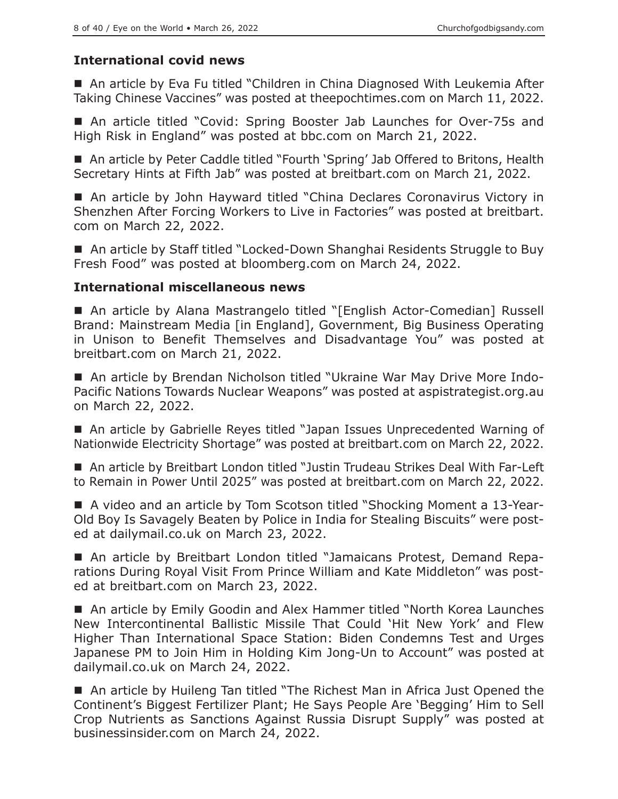# **International covid news**

■ An article by Eva Fu titled "Children in China Diagnosed With Leukemia After Taking Chinese Vaccines" was posted at theepochtimes.com on March 11, 2022.

 An article titled "Covid: Spring Booster Jab Launches for Over-75s and High Risk in England" was posted at bbc.com on March 21, 2022.

■ An article by Peter Caddle titled "Fourth 'Spring' Jab Offered to Britons, Health Secretary Hints at Fifth Jab" was posted at breitbart.com on March 21, 2022.

■ An article by John Hayward titled "China Declares Coronavirus Victory in Shenzhen After Forcing Workers to Live in Factories" was posted at breitbart. com on March 22, 2022.

■ An article by Staff titled "Locked-Down Shanghai Residents Struggle to Buy Fresh Food" was posted at bloomberg.com on March 24, 2022.

# **International miscellaneous news**

■ An article by Alana Mastrangelo titled "[English Actor-Comedian] Russell Brand: Mainstream Media [in England], Government, Big Business Operating in Unison to Benefit Themselves and Disadvantage You" was posted at breitbart.com on March 21, 2022.

■ An article by Brendan Nicholson titled "Ukraine War May Drive More Indo-Pacific Nations Towards Nuclear Weapons" was posted at aspistrategist.org.au on March 22, 2022.

■ An article by Gabrielle Reyes titled "Japan Issues Unprecedented Warning of Nationwide Electricity Shortage" was posted at breitbart.com on March 22, 2022.

■ An article by Breitbart London titled "Justin Trudeau Strikes Deal With Far-Left to Remain in Power Until 2025" was posted at breitbart.com on March 22, 2022.

■ A video and an article by Tom Scotson titled "Shocking Moment a 13-Year-Old Boy Is Savagely Beaten by Police in India for Stealing Biscuits" were posted at dailymail.co.uk on March 23, 2022.

 An article by Breitbart London titled "Jamaicans Protest, Demand Reparations During Royal Visit From Prince William and Kate Middleton" was posted at breitbart.com on March 23, 2022.

■ An article by Emily Goodin and Alex Hammer titled "North Korea Launches New Intercontinental Ballistic Missile That Could 'Hit New York' and Flew Higher Than International Space Station: Biden Condemns Test and Urges Japanese PM to Join Him in Holding Kim Jong-Un to Account" was posted at dailymail.co.uk on March 24, 2022.

 An article by Huileng Tan titled "The Richest Man in Africa Just Opened the Continent's Biggest Fertilizer Plant; He Says People Are 'Begging' Him to Sell Crop Nutrients as Sanctions Against Russia Disrupt Supply" was posted at businessinsider.com on March 24, 2022.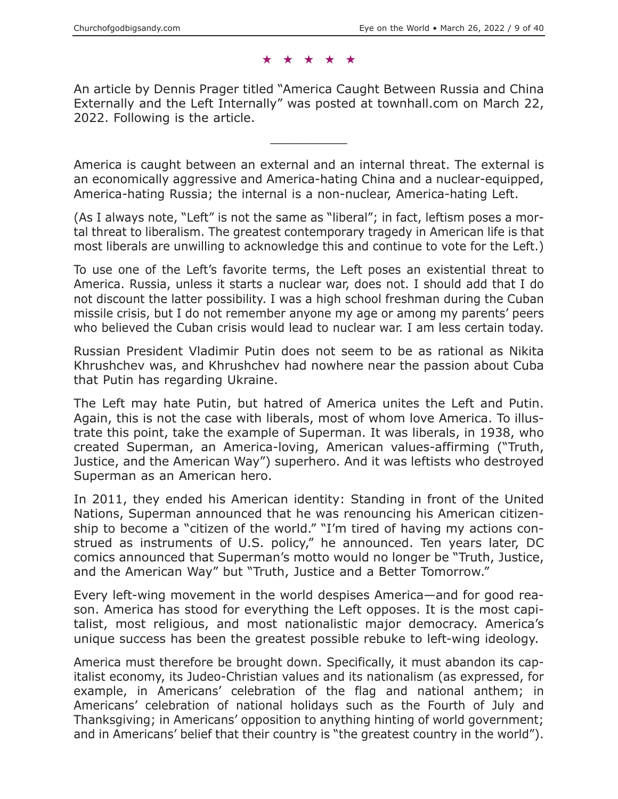#### ★★★★★

An article by Dennis Prager titled "America Caught Between Russia and China Externally and the Left Internally" was posted at townhall.com on March 22, 2022. Following is the article.

 $\overline{\phantom{a}}$  , where  $\overline{\phantom{a}}$ 

America is caught between an external and an internal threat. The external is an economically aggressive and America-hating China and a nuclear-equipped, America-hating Russia; the internal is a non-nuclear, America-hating Left.

(As I always note, "Left" is not the same as "liberal"; in fact, leftism poses a mortal threat to liberalism. The greatest contemporary tragedy in American life is that most liberals are unwilling to acknowledge this and continue to vote for the Left.)

To use one of the Left's favorite terms, the Left poses an existential threat to America. Russia, unless it starts a nuclear war, does not. I should add that I do not discount the latter possibility. I was a high school freshman during the Cuban missile crisis, but I do not remember anyone my age or among my parents' peers who believed the Cuban crisis would lead to nuclear war. I am less certain today.

Russian President Vladimir Putin does not seem to be as rational as Nikita Khrushchev was, and Khrushchev had nowhere near the passion about Cuba that Putin has regarding Ukraine.

The Left may hate Putin, but hatred of America unites the Left and Putin. Again, this is not the case with liberals, most of whom love America. To illustrate this point, take the example of Superman. It was liberals, in 1938, who created Superman, an America-loving, American values-affirming ("Truth, Justice, and the American Way") superhero. And it was leftists who destroyed Superman as an American hero.

In 2011, they ended his American identity: Standing in front of the United Nations, Superman announced that he was renouncing his American citizenship to become a "citizen of the world." "I'm tired of having my actions construed as instruments of U.S. policy," he announced. Ten years later, DC comics announced that Superman's motto would no longer be "Truth, Justice, and the American Way" but "Truth, Justice and a Better Tomorrow."

Every left-wing movement in the world despises America—and for good reason. America has stood for everything the Left opposes. It is the most capitalist, most religious, and most nationalistic major democracy. America's unique success has been the greatest possible rebuke to left-wing ideology.

America must therefore be brought down. Specifically, it must abandon its capitalist economy, its Judeo-Christian values and its nationalism (as expressed, for example, in Americans' celebration of the flag and national anthem; in Americans' celebration of national holidays such as the Fourth of July and Thanksgiving; in Americans' opposition to anything hinting of world government; and in Americans' belief that their country is "the greatest country in the world").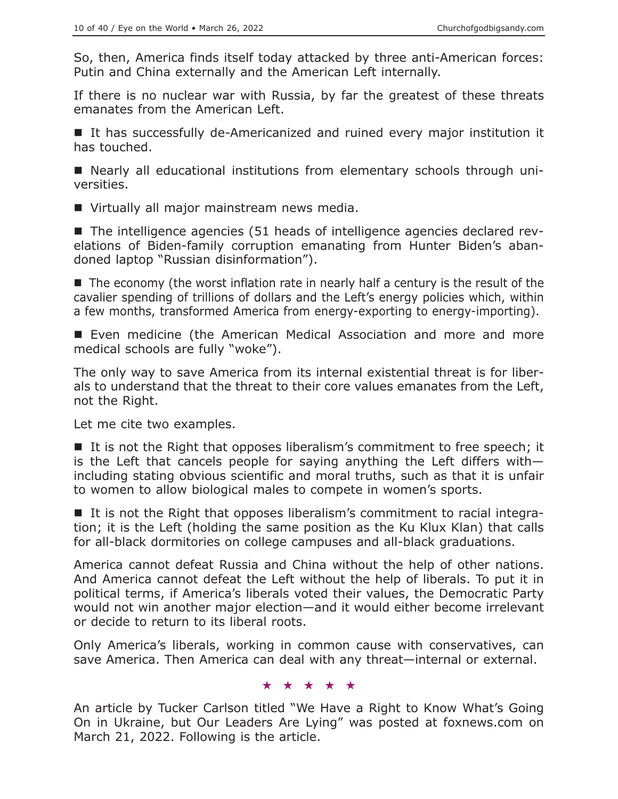So, then, America finds itself today attacked by three anti-American forces: Putin and China externally and the American Left internally.

If there is no nuclear war with Russia, by far the greatest of these threats emanates from the American Left.

■ It has successfully de-Americanized and ruined every major institution it has touched.

 Nearly all educational institutions from elementary schools through universities.

■ Virtually all major mainstream news media.

The intelligence agencies (51 heads of intelligence agencies declared revelations of Biden-family corruption emanating from Hunter Biden's abandoned laptop "Russian disinformation").

 $\blacksquare$  The economy (the worst inflation rate in nearly half a century is the result of the cavalier spending of trillions of dollars and the Left's energy policies which, within a few months, transformed America from energy-exporting to energy-importing).

 Even medicine (the American Medical Association and more and more medical schools are fully "woke").

The only way to save America from its internal existential threat is for liberals to understand that the threat to their core values emanates from the Left, not the Right.

Let me cite two examples.

■ It is not the Right that opposes liberalism's commitment to free speech; it is the Left that cancels people for saying anything the Left differs with including stating obvious scientific and moral truths, such as that it is unfair to women to allow biological males to compete in women's sports.

■ It is not the Right that opposes liberalism's commitment to racial integration; it is the Left (holding the same position as the Ku Klux Klan) that calls for all-black dormitories on college campuses and all-black graduations.

America cannot defeat Russia and China without the help of other nations. And America cannot defeat the Left without the help of liberals. To put it in political terms, if America's liberals voted their values, the Democratic Party would not win another major election—and it would either become irrelevant or decide to return to its liberal roots.

Only America's liberals, working in common cause with conservatives, can save America. Then America can deal with any threat—internal or external.

## ★★★★★

An article by Tucker Carlson titled "We Have a Right to Know What's Going On in Ukraine, but Our Leaders Are Lying" was posted at foxnews.com on March 21, 2022. Following is the article.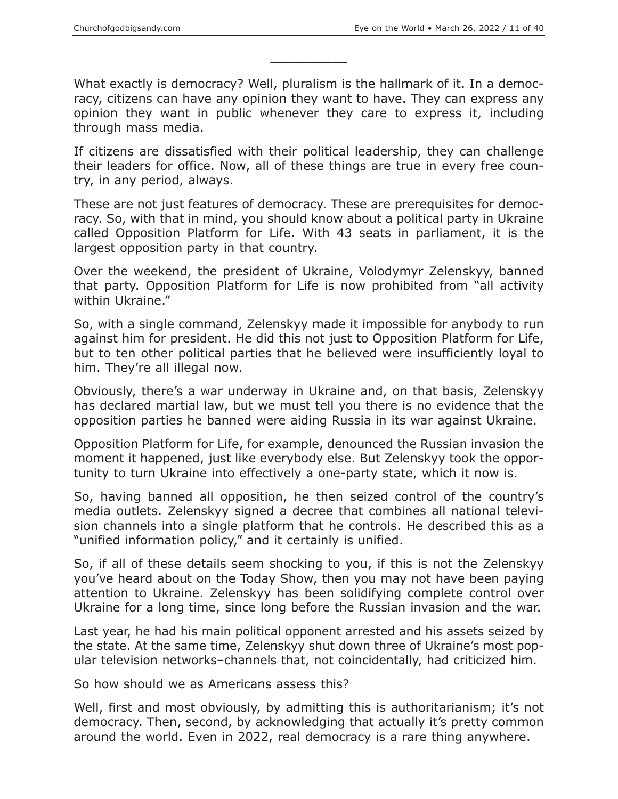What exactly is democracy? Well, pluralism is the hallmark of it. In a democracy, citizens can have any opinion they want to have. They can express any opinion they want in public whenever they care to express it, including through mass media.

 $\overline{\phantom{a}}$  , where  $\overline{\phantom{a}}$ 

If citizens are dissatisfied with their political leadership, they can challenge their leaders for office. Now, all of these things are true in every free country, in any period, always.

These are not just features of democracy. These are prerequisites for democracy. So, with that in mind, you should know about a political party in Ukraine called Opposition Platform for Life. With 43 seats in parliament, it is the largest opposition party in that country.

Over the weekend, the president of Ukraine, Volodymyr Zelenskyy, banned that party. Opposition Platform for Life is now prohibited from "all activity within Ukraine."

So, with a single command, Zelenskyy made it impossible for anybody to run against him for president. He did this not just to Opposition Platform for Life, but to ten other political parties that he believed were insufficiently loyal to him. They're all illegal now.

Obviously, there's a war underway in Ukraine and, on that basis, Zelenskyy has declared martial law, but we must tell you there is no evidence that the opposition parties he banned were aiding Russia in its war against Ukraine.

Opposition Platform for Life, for example, denounced the Russian invasion the moment it happened, just like everybody else. But Zelenskyy took the opportunity to turn Ukraine into effectively a one-party state, which it now is.

So, having banned all opposition, he then seized control of the country's media outlets. Zelenskyy signed a decree that combines all national television channels into a single platform that he controls. He described this as a "unified information policy," and it certainly is unified.

So, if all of these details seem shocking to you, if this is not the Zelenskyy you've heard about on the Today Show, then you may not have been paying attention to Ukraine. Zelenskyy has been solidifying complete control over Ukraine for a long time, since long before the Russian invasion and the war.

Last year, he had his main political opponent arrested and his assets seized by the state. At the same time, Zelenskyy shut down three of Ukraine's most popular television networks–channels that, not coincidentally, had criticized him.

So how should we as Americans assess this?

Well, first and most obviously, by admitting this is authoritarianism; it's not democracy. Then, second, by acknowledging that actually it's pretty common around the world. Even in 2022, real democracy is a rare thing anywhere.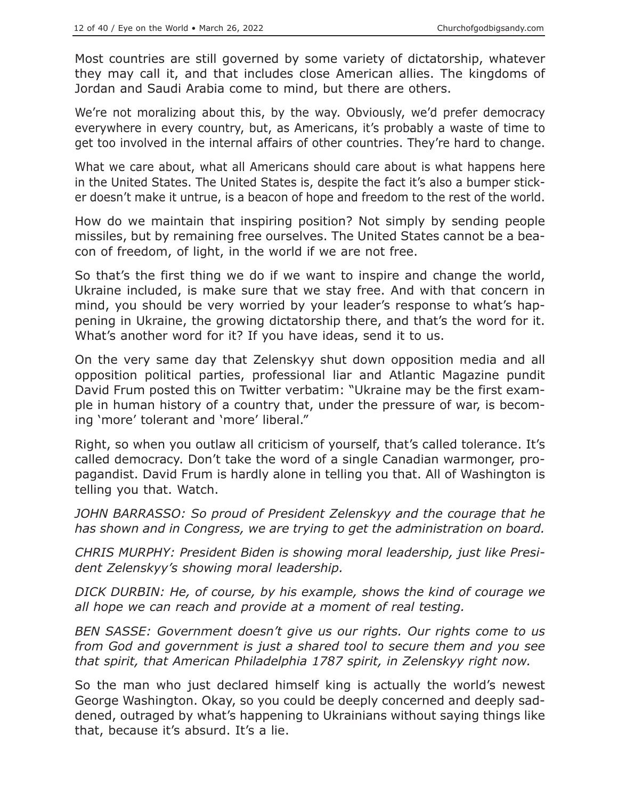Most countries are still governed by some variety of dictatorship, whatever they may call it, and that includes close American allies. The kingdoms of Jordan and Saudi Arabia come to mind, but there are others.

We're not moralizing about this, by the way. Obviously, we'd prefer democracy everywhere in every country, but, as Americans, it's probably a waste of time to get too involved in the internal affairs of other countries. They're hard to change.

What we care about, what all Americans should care about is what happens here in the United States. The United States is, despite the fact it's also a bumper sticker doesn't make it untrue, is a beacon of hope and freedom to the rest of the world.

How do we maintain that inspiring position? Not simply by sending people missiles, but by remaining free ourselves. The United States cannot be a beacon of freedom, of light, in the world if we are not free.

So that's the first thing we do if we want to inspire and change the world, Ukraine included, is make sure that we stay free. And with that concern in mind, you should be very worried by your leader's response to what's happening in Ukraine, the growing dictatorship there, and that's the word for it. What's another word for it? If you have ideas, send it to us.

On the very same day that Zelenskyy shut down opposition media and all opposition political parties, professional liar and Atlantic Magazine pundit David Frum posted this on Twitter verbatim: "Ukraine may be the first example in human history of a country that, under the pressure of war, is becoming 'more' tolerant and 'more' liberal."

Right, so when you outlaw all criticism of yourself, that's called tolerance. It's called democracy. Don't take the word of a single Canadian warmonger, propagandist. David Frum is hardly alone in telling you that. All of Washington is telling you that. Watch.

*JOHN BARRASSO: So proud of President Zelenskyy and the courage that he has shown and in Congress, we are trying to get the administration on board.* 

*CHRIS MURPHY: President Biden is showing moral leadership, just like President Zelenskyy's showing moral leadership.* 

*DICK DURBIN: He, of course, by his example, shows the kind of courage we all hope we can reach and provide at a moment of real testing.* 

*BEN SASSE: Government doesn't give us our rights. Our rights come to us from God and government is just a shared tool to secure them and you see that spirit, that American Philadelphia 1787 spirit, in Zelenskyy right now.* 

So the man who just declared himself king is actually the world's newest George Washington. Okay, so you could be deeply concerned and deeply saddened, outraged by what's happening to Ukrainians without saying things like that, because it's absurd. It's a lie.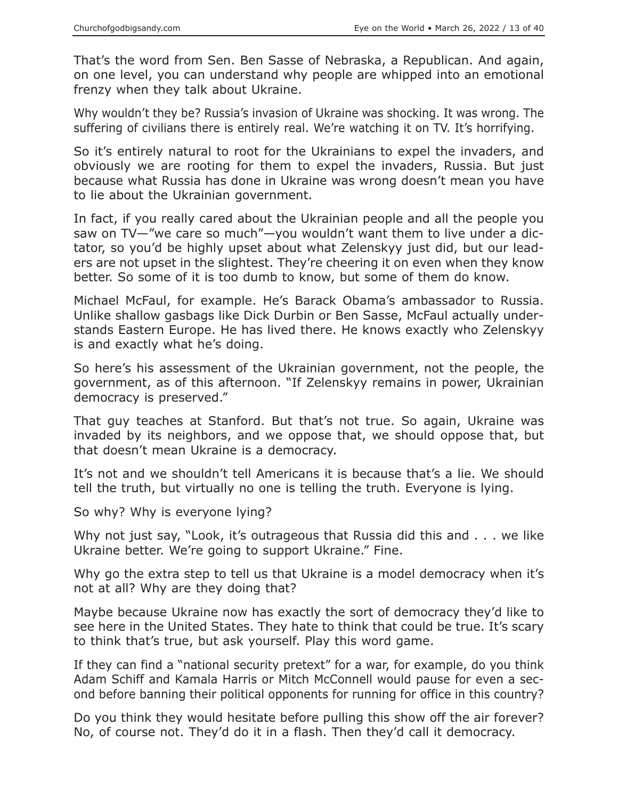That's the word from Sen. Ben Sasse of Nebraska, a Republican. And again, on one level, you can understand why people are whipped into an emotional frenzy when they talk about Ukraine.

Why wouldn't they be? Russia's invasion of Ukraine was shocking. It was wrong. The suffering of civilians there is entirely real. We're watching it on TV. It's horrifying.

So it's entirely natural to root for the Ukrainians to expel the invaders, and obviously we are rooting for them to expel the invaders, Russia. But just because what Russia has done in Ukraine was wrong doesn't mean you have to lie about the Ukrainian government.

In fact, if you really cared about the Ukrainian people and all the people you saw on TV—"we care so much"—you wouldn't want them to live under a dictator, so you'd be highly upset about what Zelenskyy just did, but our leaders are not upset in the slightest. They're cheering it on even when they know better. So some of it is too dumb to know, but some of them do know.

Michael McFaul, for example. He's Barack Obama's ambassador to Russia. Unlike shallow gasbags like Dick Durbin or Ben Sasse, McFaul actually understands Eastern Europe. He has lived there. He knows exactly who Zelenskyy is and exactly what he's doing.

So here's his assessment of the Ukrainian government, not the people, the government, as of this afternoon. "If Zelenskyy remains in power, Ukrainian democracy is preserved."

That guy teaches at Stanford. But that's not true. So again, Ukraine was invaded by its neighbors, and we oppose that, we should oppose that, but that doesn't mean Ukraine is a democracy.

It's not and we shouldn't tell Americans it is because that's a lie. We should tell the truth, but virtually no one is telling the truth. Everyone is lying.

So why? Why is everyone lying?

Why not just say, "Look, it's outrageous that Russia did this and . . . we like Ukraine better. We're going to support Ukraine." Fine.

Why go the extra step to tell us that Ukraine is a model democracy when it's not at all? Why are they doing that?

Maybe because Ukraine now has exactly the sort of democracy they'd like to see here in the United States. They hate to think that could be true. It's scary to think that's true, but ask yourself. Play this word game.

If they can find a "national security pretext" for a war, for example, do you think Adam Schiff and Kamala Harris or Mitch McConnell would pause for even a second before banning their political opponents for running for office in this country?

Do you think they would hesitate before pulling this show off the air forever? No, of course not. They'd do it in a flash. Then they'd call it democracy.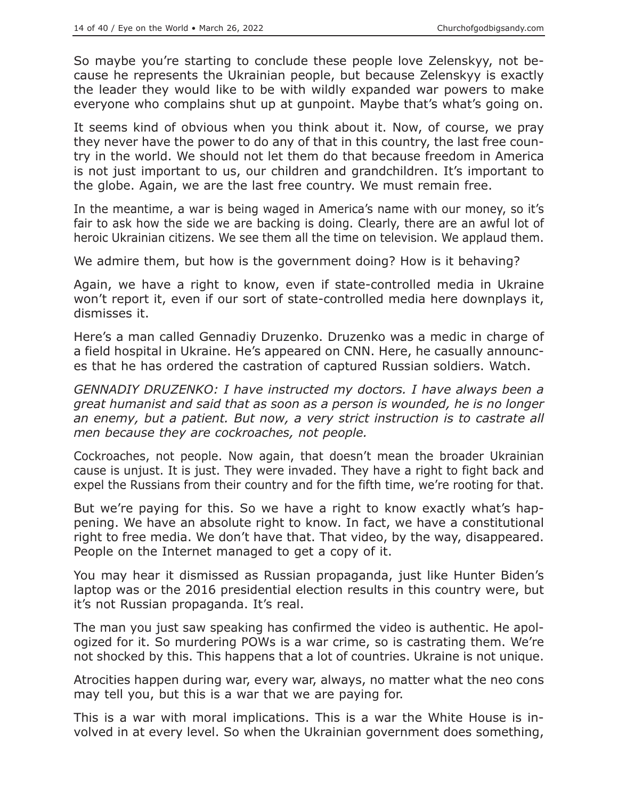So maybe you're starting to conclude these people love Zelenskyy, not because he represents the Ukrainian people, but because Zelenskyy is exactly the leader they would like to be with wildly expanded war powers to make everyone who complains shut up at gunpoint. Maybe that's what's going on.

It seems kind of obvious when you think about it. Now, of course, we pray they never have the power to do any of that in this country, the last free country in the world. We should not let them do that because freedom in America is not just important to us, our children and grandchildren. It's important to the globe. Again, we are the last free country. We must remain free.

In the meantime, a war is being waged in America's name with our money, so it's fair to ask how the side we are backing is doing. Clearly, there are an awful lot of heroic Ukrainian citizens. We see them all the time on television. We applaud them.

We admire them, but how is the government doing? How is it behaving?

Again, we have a right to know, even if state-controlled media in Ukraine won't report it, even if our sort of state-controlled media here downplays it, dismisses it.

Here's a man called Gennadiy Druzenko. Druzenko was a medic in charge of a field hospital in Ukraine. He's appeared on CNN. Here, he casually announces that he has ordered the castration of captured Russian soldiers. Watch.

*GENNADIY DRUZENKO: I have instructed my doctors. I have always been a great humanist and said that as soon as a person is wounded, he is no longer an enemy, but a patient. But now, a very strict instruction is to castrate all men because they are cockroaches, not people.*

Cockroaches, not people. Now again, that doesn't mean the broader Ukrainian cause is unjust. It is just. They were invaded. They have a right to fight back and expel the Russians from their country and for the fifth time, we're rooting for that.

But we're paying for this. So we have a right to know exactly what's happening. We have an absolute right to know. In fact, we have a constitutional right to free media. We don't have that. That video, by the way, disappeared. People on the Internet managed to get a copy of it.

You may hear it dismissed as Russian propaganda, just like Hunter Biden's laptop was or the 2016 presidential election results in this country were, but it's not Russian propaganda. It's real.

The man you just saw speaking has confirmed the video is authentic. He apologized for it. So murdering POWs is a war crime, so is castrating them. We're not shocked by this. This happens that a lot of countries. Ukraine is not unique.

Atrocities happen during war, every war, always, no matter what the neo cons may tell you, but this is a war that we are paying for.

This is a war with moral implications. This is a war the White House is involved in at every level. So when the Ukrainian government does something,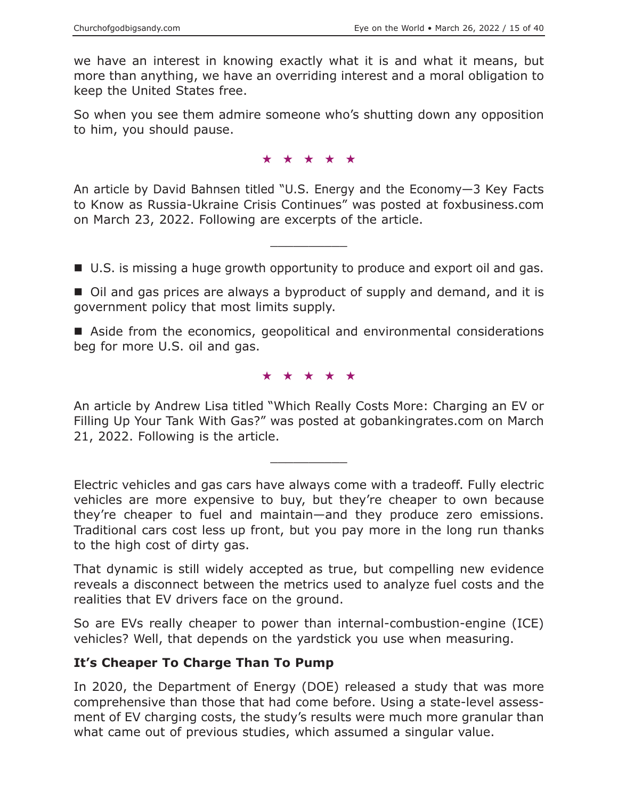we have an interest in knowing exactly what it is and what it means, but more than anything, we have an overriding interest and a moral obligation to keep the United States free.

So when you see them admire someone who's shutting down any opposition to him, you should pause.

★★★★★

An article by David Bahnsen titled "U.S. Energy and the Economy—3 Key Facts to Know as Russia-Ukraine Crisis Continues" was posted at foxbusiness.com on March 23, 2022. Following are excerpts of the article.

■ U.S. is missing a huge growth opportunity to produce and export oil and gas.

 $\overline{\phantom{a}}$  , where  $\overline{\phantom{a}}$ 

■ Oil and gas prices are always a byproduct of supply and demand, and it is government policy that most limits supply.

■ Aside from the economics, geopolitical and environmental considerations beg for more U.S. oil and gas.

★★★★★

An article by Andrew Lisa titled "Which Really Costs More: Charging an EV or Filling Up Your Tank With Gas?" was posted at gobankingrates.com on March 21, 2022. Following is the article.

 $\overline{\phantom{a}}$  , where  $\overline{\phantom{a}}$ 

Electric vehicles and gas cars have always come with a tradeoff. Fully electric vehicles are more expensive to buy, but they're cheaper to own because they're cheaper to fuel and maintain—and they produce zero emissions. Traditional cars cost less up front, but you pay more in the long run thanks to the high cost of dirty gas.

That dynamic is still widely accepted as true, but compelling new evidence reveals a disconnect between the metrics used to analyze fuel costs and the realities that EV drivers face on the ground.

So are EVs really cheaper to power than internal-combustion-engine (ICE) vehicles? Well, that depends on the yardstick you use when measuring.

# **It's Cheaper To Charge Than To Pump**

In 2020, the Department of Energy (DOE) released a study that was more comprehensive than those that had come before. Using a state-level assessment of EV charging costs, the study's results were much more granular than what came out of previous studies, which assumed a singular value.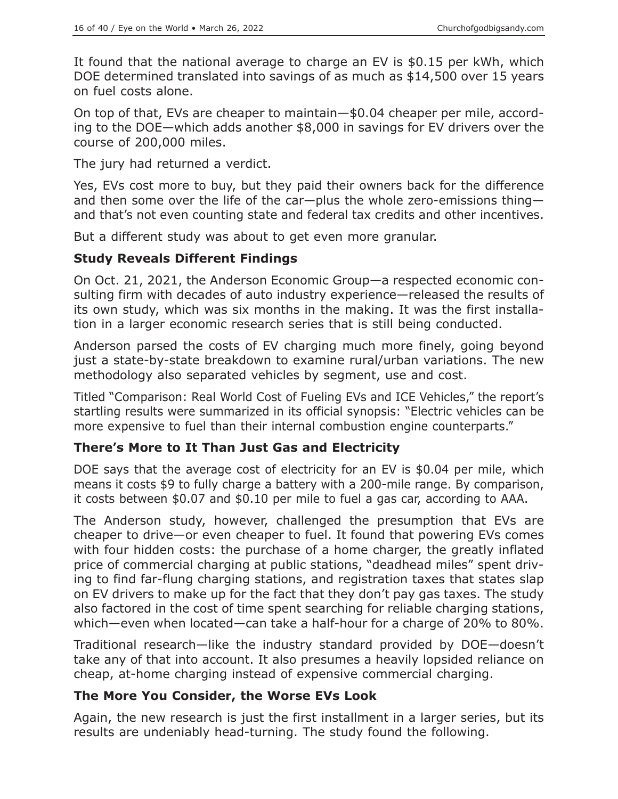It found that the national average to charge an EV is \$0.15 per kWh, which DOE determined translated into savings of as much as \$14,500 over 15 years on fuel costs alone.

On top of that, EVs are cheaper to maintain—\$0.04 cheaper per mile, according to the DOE—which adds another \$8,000 in savings for EV drivers over the course of 200,000 miles.

The jury had returned a verdict.

Yes, EVs cost more to buy, but they paid their owners back for the difference and then some over the life of the car—plus the whole zero-emissions thing and that's not even counting state and federal tax credits and other incentives.

But a different study was about to get even more granular.

# **Study Reveals Different Findings**

On Oct. 21, 2021, the Anderson Economic Group—a respected economic consulting firm with decades of auto industry experience—released the results of its own study, which was six months in the making. It was the first installation in a larger economic research series that is still being conducted.

Anderson parsed the costs of EV charging much more finely, going beyond just a state-by-state breakdown to examine rural/urban variations. The new methodology also separated vehicles by segment, use and cost.

Titled "Comparison: Real World Cost of Fueling EVs and ICE Vehicles," the report's startling results were summarized in its official synopsis: "Electric vehicles can be more expensive to fuel than their internal combustion engine counterparts."

# **There's More to It Than Just Gas and Electricity**

DOE says that the average cost of electricity for an EV is \$0.04 per mile, which means it costs \$9 to fully charge a battery with a 200-mile range. By comparison, it costs between \$0.07 and \$0.10 per mile to fuel a gas car, according to AAA.

The Anderson study, however, challenged the presumption that EVs are cheaper to drive—or even cheaper to fuel. It found that powering EVs comes with four hidden costs: the purchase of a home charger, the greatly inflated price of commercial charging at public stations, "deadhead miles" spent driving to find far-flung charging stations, and registration taxes that states slap on EV drivers to make up for the fact that they don't pay gas taxes. The study also factored in the cost of time spent searching for reliable charging stations, which—even when located—can take a half-hour for a charge of 20% to 80%.

Traditional research—like the industry standard provided by DOE—doesn't take any of that into account. It also presumes a heavily lopsided reliance on cheap, at-home charging instead of expensive commercial charging.

# **The More You Consider, the Worse EVs Look**

Again, the new research is just the first installment in a larger series, but its results are undeniably head-turning. The study found the following.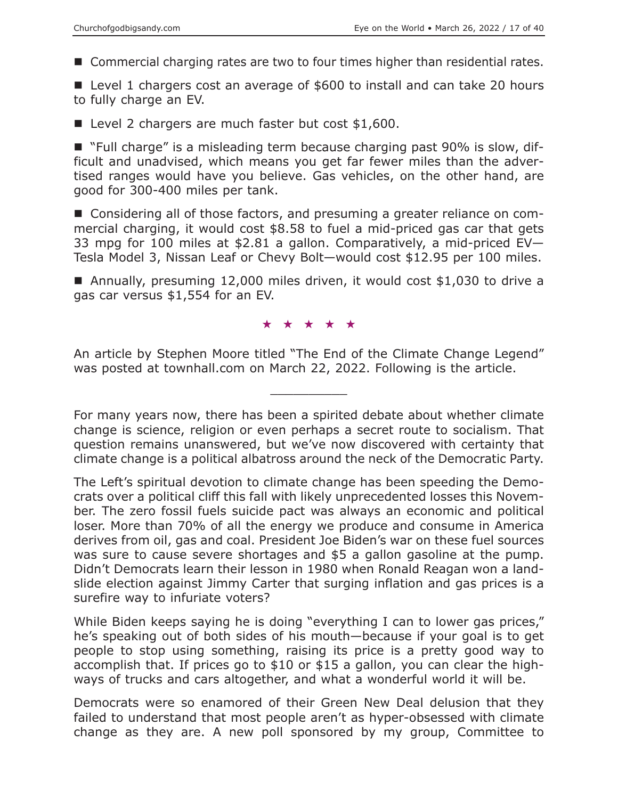■ Commercial charging rates are two to four times higher than residential rates.

■ Level 1 chargers cost an average of \$600 to install and can take 20 hours to fully charge an EV.

■ Level 2 chargers are much faster but cost \$1,600.

■ "Full charge" is a misleading term because charging past 90% is slow, difficult and unadvised, which means you get far fewer miles than the advertised ranges would have you believe. Gas vehicles, on the other hand, are good for 300-400 miles per tank.

■ Considering all of those factors, and presuming a greater reliance on commercial charging, it would cost \$8.58 to fuel a mid-priced gas car that gets 33 mpg for 100 miles at \$2.81 a gallon. Comparatively, a mid-priced EV— Tesla Model 3, Nissan Leaf or Chevy Bolt—would cost \$12.95 per 100 miles.

■ Annually, presuming 12,000 miles driven, it would cost \$1,030 to drive a gas car versus \$1,554 for an EV.

## ★★★★★

An article by Stephen Moore titled "The End of the Climate Change Legend" was posted at townhall.com on March 22, 2022. Following is the article.

 $\overline{\phantom{a}}$  , where  $\overline{\phantom{a}}$ 

For many years now, there has been a spirited debate about whether climate change is science, religion or even perhaps a secret route to socialism. That question remains unanswered, but we've now discovered with certainty that climate change is a political albatross around the neck of the Democratic Party.

The Left's spiritual devotion to climate change has been speeding the Democrats over a political cliff this fall with likely unprecedented losses this November. The zero fossil fuels suicide pact was always an economic and political loser. More than 70% of all the energy we produce and consume in America derives from oil, gas and coal. President Joe Biden's war on these fuel sources was sure to cause severe shortages and \$5 a gallon gasoline at the pump. Didn't Democrats learn their lesson in 1980 when Ronald Reagan won a landslide election against Jimmy Carter that surging inflation and gas prices is a surefire way to infuriate voters?

While Biden keeps saying he is doing "everything I can to lower gas prices," he's speaking out of both sides of his mouth—because if your goal is to get people to stop using something, raising its price is a pretty good way to accomplish that. If prices go to \$10 or \$15 a gallon, you can clear the highways of trucks and cars altogether, and what a wonderful world it will be.

Democrats were so enamored of their Green New Deal delusion that they failed to understand that most people aren't as hyper-obsessed with climate change as they are. A new poll sponsored by my group, Committee to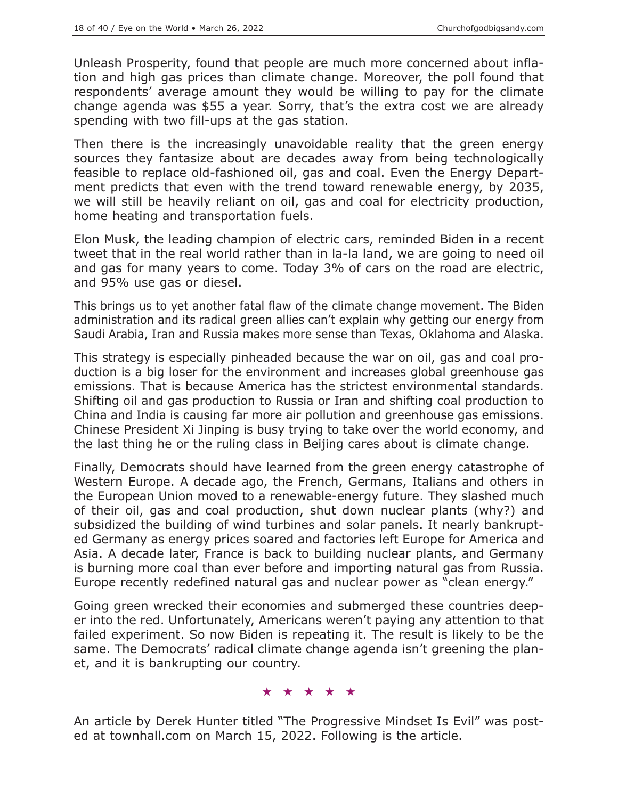Unleash Prosperity, found that people are much more concerned about inflation and high gas prices than climate change. Moreover, the poll found that respondents' average amount they would be willing to pay for the climate change agenda was \$55 a year. Sorry, that's the extra cost we are already spending with two fill-ups at the gas station.

Then there is the increasingly unavoidable reality that the green energy sources they fantasize about are decades away from being technologically feasible to replace old-fashioned oil, gas and coal. Even the Energy Department predicts that even with the trend toward renewable energy, by 2035, we will still be heavily reliant on oil, gas and coal for electricity production, home heating and transportation fuels.

Elon Musk, the leading champion of electric cars, reminded Biden in a recent tweet that in the real world rather than in la-la land, we are going to need oil and gas for many years to come. Today 3% of cars on the road are electric, and 95% use gas or diesel.

This brings us to yet another fatal flaw of the climate change movement. The Biden administration and its radical green allies can't explain why getting our energy from Saudi Arabia, Iran and Russia makes more sense than Texas, Oklahoma and Alaska.

This strategy is especially pinheaded because the war on oil, gas and coal production is a big loser for the environment and increases global greenhouse gas emissions. That is because America has the strictest environmental standards. Shifting oil and gas production to Russia or Iran and shifting coal production to China and India is causing far more air pollution and greenhouse gas emissions. Chinese President Xi Jinping is busy trying to take over the world economy, and the last thing he or the ruling class in Beijing cares about is climate change.

Finally, Democrats should have learned from the green energy catastrophe of Western Europe. A decade ago, the French, Germans, Italians and others in the European Union moved to a renewable-energy future. They slashed much of their oil, gas and coal production, shut down nuclear plants (why?) and subsidized the building of wind turbines and solar panels. It nearly bankrupted Germany as energy prices soared and factories left Europe for America and Asia. A decade later, France is back to building nuclear plants, and Germany is burning more coal than ever before and importing natural gas from Russia. Europe recently redefined natural gas and nuclear power as "clean energy."

Going green wrecked their economies and submerged these countries deeper into the red. Unfortunately, Americans weren't paying any attention to that failed experiment. So now Biden is repeating it. The result is likely to be the same. The Democrats' radical climate change agenda isn't greening the planet, and it is bankrupting our country.

## ★★★★★

An article by Derek Hunter titled "The Progressive Mindset Is Evil" was posted at townhall.com on March 15, 2022. Following is the article.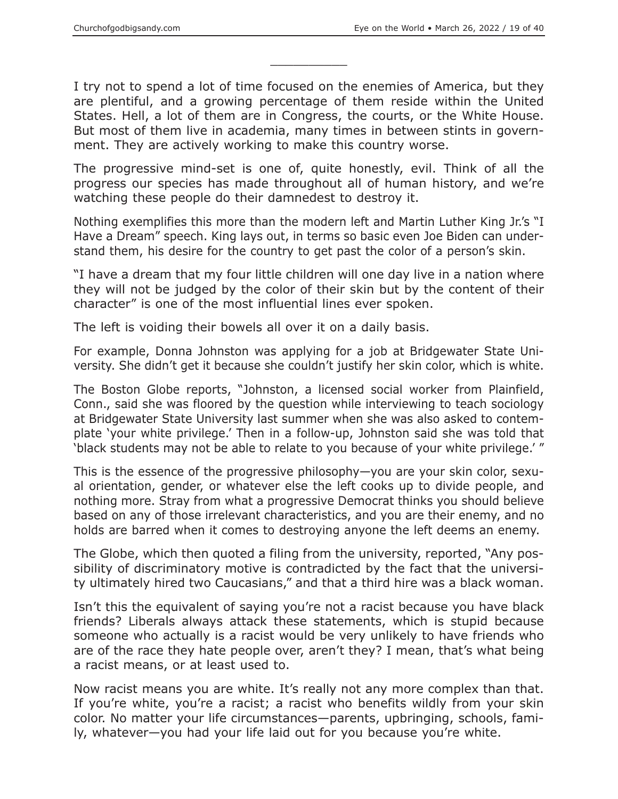I try not to spend a lot of time focused on the enemies of America, but they are plentiful, and a growing percentage of them reside within the United States. Hell, a lot of them are in Congress, the courts, or the White House. But most of them live in academia, many times in between stints in government. They are actively working to make this country worse.

 $\overline{\phantom{a}}$  , where  $\overline{\phantom{a}}$ 

The progressive mind-set is one of, quite honestly, evil. Think of all the progress our species has made throughout all of human history, and we're watching these people do their damnedest to destroy it.

Nothing exemplifies this more than the modern left and Martin Luther King Jr.'s "I Have a Dream" speech. King lays out, in terms so basic even Joe Biden can understand them, his desire for the country to get past the color of a person's skin.

"I have a dream that my four little children will one day live in a nation where they will not be judged by the color of their skin but by the content of their character" is one of the most influential lines ever spoken.

The left is voiding their bowels all over it on a daily basis.

For example, Donna Johnston was applying for a job at Bridgewater State University. She didn't get it because she couldn't justify her skin color, which is white.

The Boston Globe reports, "Johnston, a licensed social worker from Plainfield, Conn., said she was floored by the question while interviewing to teach sociology at Bridgewater State University last summer when she was also asked to contemplate 'your white privilege.' Then in a follow-up, Johnston said she was told that 'black students may not be able to relate to you because of your white privilege.' "

This is the essence of the progressive philosophy—you are your skin color, sexual orientation, gender, or whatever else the left cooks up to divide people, and nothing more. Stray from what a progressive Democrat thinks you should believe based on any of those irrelevant characteristics, and you are their enemy, and no holds are barred when it comes to destroying anyone the left deems an enemy.

The Globe, which then quoted a filing from the university, reported, "Any possibility of discriminatory motive is contradicted by the fact that the university ultimately hired two Caucasians," and that a third hire was a black woman.

Isn't this the equivalent of saying you're not a racist because you have black friends? Liberals always attack these statements, which is stupid because someone who actually is a racist would be very unlikely to have friends who are of the race they hate people over, aren't they? I mean, that's what being a racist means, or at least used to.

Now racist means you are white. It's really not any more complex than that. If you're white, you're a racist; a racist who benefits wildly from your skin color. No matter your life circumstances—parents, upbringing, schools, family, whatever—you had your life laid out for you because you're white.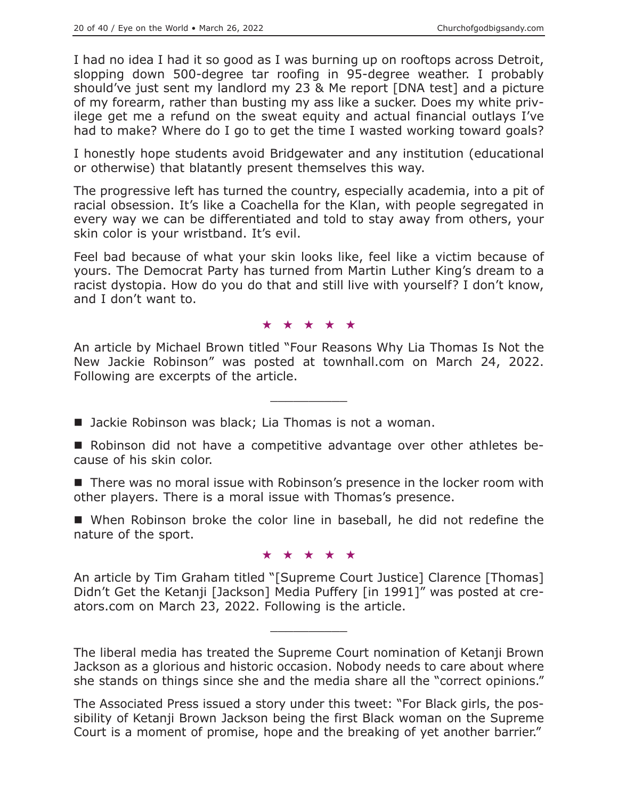I had no idea I had it so good as I was burning up on rooftops across Detroit, slopping down 500-degree tar roofing in 95-degree weather. I probably should've just sent my landlord my 23 & Me report [DNA test] and a picture of my forearm, rather than busting my ass like a sucker. Does my white privilege get me a refund on the sweat equity and actual financial outlays I've had to make? Where do I go to get the time I wasted working toward goals?

I honestly hope students avoid Bridgewater and any institution (educational or otherwise) that blatantly present themselves this way.

The progressive left has turned the country, especially academia, into a pit of racial obsession. It's like a Coachella for the Klan, with people segregated in every way we can be differentiated and told to stay away from others, your skin color is your wristband. It's evil.

Feel bad because of what your skin looks like, feel like a victim because of yours. The Democrat Party has turned from Martin Luther King's dream to a racist dystopia. How do you do that and still live with yourself? I don't know, and I don't want to.

#### ★★★★★

An article by Michael Brown titled "Four Reasons Why Lia Thomas Is Not the New Jackie Robinson" was posted at townhall.com on March 24, 2022. Following are excerpts of the article.

 $\overline{\phantom{a}}$  , where  $\overline{\phantom{a}}$ 

■ Jackie Robinson was black; Lia Thomas is not a woman.

■ Robinson did not have a competitive advantage over other athletes because of his skin color.

■ There was no moral issue with Robinson's presence in the locker room with other players. There is a moral issue with Thomas's presence.

 When Robinson broke the color line in baseball, he did not redefine the nature of the sport.

#### ★★★★★

An article by Tim Graham titled "[Supreme Court Justice] Clarence [Thomas] Didn't Get the Ketanji [Jackson] Media Puffery [in 1991]" was posted at creators.com on March 23, 2022. Following is the article.

 $\overline{\phantom{a}}$  , where  $\overline{\phantom{a}}$ 

The liberal media has treated the Supreme Court nomination of Ketanji Brown Jackson as a glorious and historic occasion. Nobody needs to care about where she stands on things since she and the media share all the "correct opinions."

The Associated Press issued a story under this tweet: "For Black girls, the possibility of Ketanji Brown Jackson being the first Black woman on the Supreme Court is a moment of promise, hope and the breaking of yet another barrier."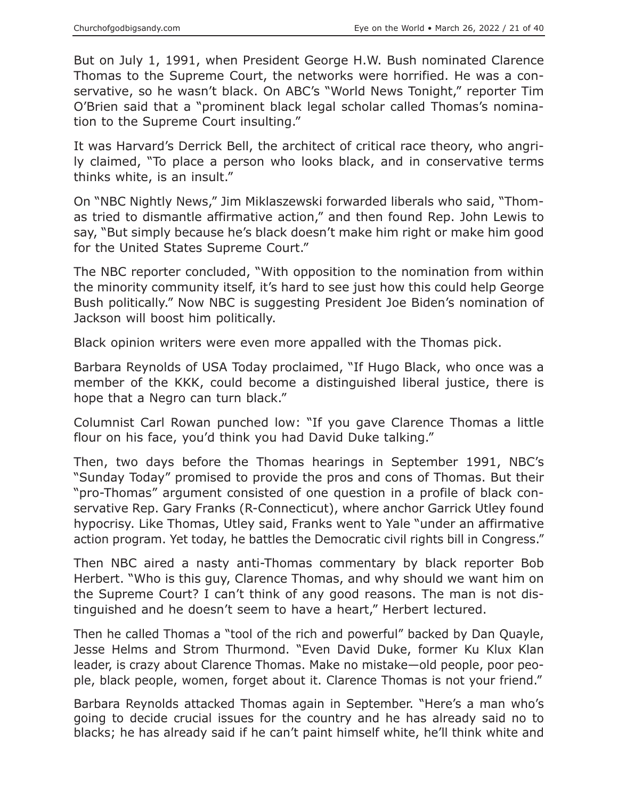But on July 1, 1991, when President George H.W. Bush nominated Clarence Thomas to the Supreme Court, the networks were horrified. He was a conservative, so he wasn't black. On ABC's "World News Tonight," reporter Tim O'Brien said that a "prominent black legal scholar called Thomas's nomination to the Supreme Court insulting."

It was Harvard's Derrick Bell, the architect of critical race theory, who angrily claimed, "To place a person who looks black, and in conservative terms thinks white, is an insult."

On "NBC Nightly News," Jim Miklaszewski forwarded liberals who said, "Thomas tried to dismantle affirmative action," and then found Rep. John Lewis to say, "But simply because he's black doesn't make him right or make him good for the United States Supreme Court."

The NBC reporter concluded, "With opposition to the nomination from within the minority community itself, it's hard to see just how this could help George Bush politically." Now NBC is suggesting President Joe Biden's nomination of Jackson will boost him politically.

Black opinion writers were even more appalled with the Thomas pick.

Barbara Reynolds of USA Today proclaimed, "If Hugo Black, who once was a member of the KKK, could become a distinguished liberal justice, there is hope that a Negro can turn black."

Columnist Carl Rowan punched low: "If you gave Clarence Thomas a little flour on his face, you'd think you had David Duke talking."

Then, two days before the Thomas hearings in September 1991, NBC's "Sunday Today" promised to provide the pros and cons of Thomas. But their "pro-Thomas" argument consisted of one question in a profile of black conservative Rep. Gary Franks (R-Connecticut), where anchor Garrick Utley found hypocrisy. Like Thomas, Utley said, Franks went to Yale "under an affirmative action program. Yet today, he battles the Democratic civil rights bill in Congress."

Then NBC aired a nasty anti-Thomas commentary by black reporter Bob Herbert. "Who is this guy, Clarence Thomas, and why should we want him on the Supreme Court? I can't think of any good reasons. The man is not distinguished and he doesn't seem to have a heart," Herbert lectured.

Then he called Thomas a "tool of the rich and powerful" backed by Dan Quayle, Jesse Helms and Strom Thurmond. "Even David Duke, former Ku Klux Klan leader, is crazy about Clarence Thomas. Make no mistake—old people, poor people, black people, women, forget about it. Clarence Thomas is not your friend."

Barbara Reynolds attacked Thomas again in September. "Here's a man who's going to decide crucial issues for the country and he has already said no to blacks; he has already said if he can't paint himself white, he'll think white and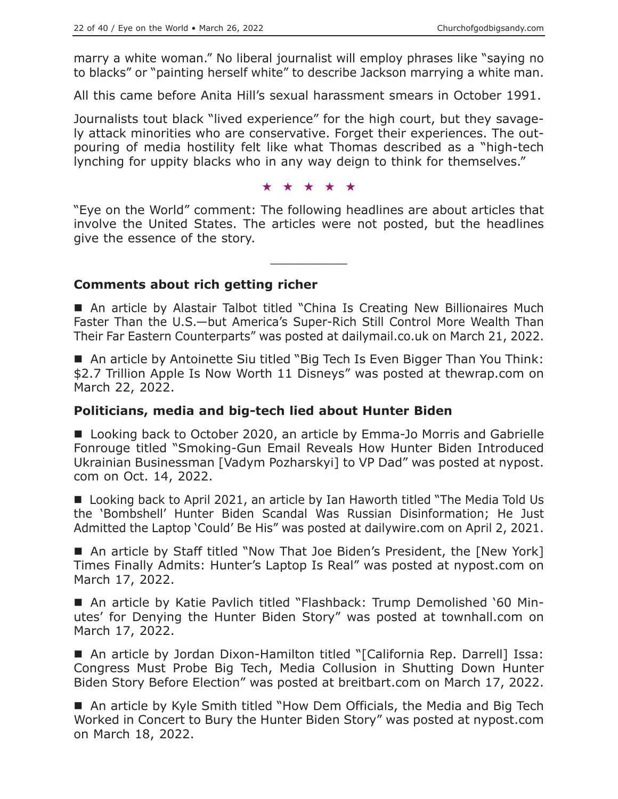marry a white woman." No liberal journalist will employ phrases like "saying no to blacks" or "painting herself white" to describe Jackson marrying a white man.

All this came before Anita Hill's sexual harassment smears in October 1991.

Journalists tout black "lived experience" for the high court, but they savagely attack minorities who are conservative. Forget their experiences. The outpouring of media hostility felt like what Thomas described as a "high-tech lynching for uppity blacks who in any way deign to think for themselves."

#### ★★★★★

"Eye on the World" comment: The following headlines are about articles that involve the United States. The articles were not posted, but the headlines give the essence of the story.

 $\overline{\phantom{a}}$  , where  $\overline{\phantom{a}}$ 

**Comments about rich getting richer**

 An article by Alastair Talbot titled "China Is Creating New Billionaires Much Faster Than the U.S.—but America's Super-Rich Still Control More Wealth Than Their Far Eastern Counterparts" was posted at dailymail.co.uk on March 21, 2022.

■ An article by Antoinette Siu titled "Big Tech Is Even Bigger Than You Think: \$2.7 Trillion Apple Is Now Worth 11 Disneys" was posted at thewrap.com on March 22, 2022.

## **Politicians, media and big-tech lied about Hunter Biden**

■ Looking back to October 2020, an article by Emma-Jo Morris and Gabrielle Fonrouge titled "Smoking-Gun Email Reveals How Hunter Biden Introduced Ukrainian Businessman [Vadym Pozharskyi] to VP Dad" was posted at nypost. com on Oct. 14, 2022.

■ Looking back to April 2021, an article by Ian Haworth titled "The Media Told Us the 'Bombshell' Hunter Biden Scandal Was Russian Disinformation; He Just Admitted the Laptop 'Could' Be His" was posted at dailywire.com on April 2, 2021.

■ An article by Staff titled "Now That Joe Biden's President, the [New York] Times Finally Admits: Hunter's Laptop Is Real" was posted at nypost.com on March 17, 2022.

 An article by Katie Pavlich titled "Flashback: Trump Demolished '60 Minutes' for Denying the Hunter Biden Story" was posted at townhall.com on March 17, 2022.

 An article by Jordan Dixon-Hamilton titled "[California Rep. Darrell] Issa: Congress Must Probe Big Tech, Media Collusion in Shutting Down Hunter Biden Story Before Election" was posted at breitbart.com on March 17, 2022.

■ An article by Kyle Smith titled "How Dem Officials, the Media and Big Tech Worked in Concert to Bury the Hunter Biden Story" was posted at nypost.com on March 18, 2022.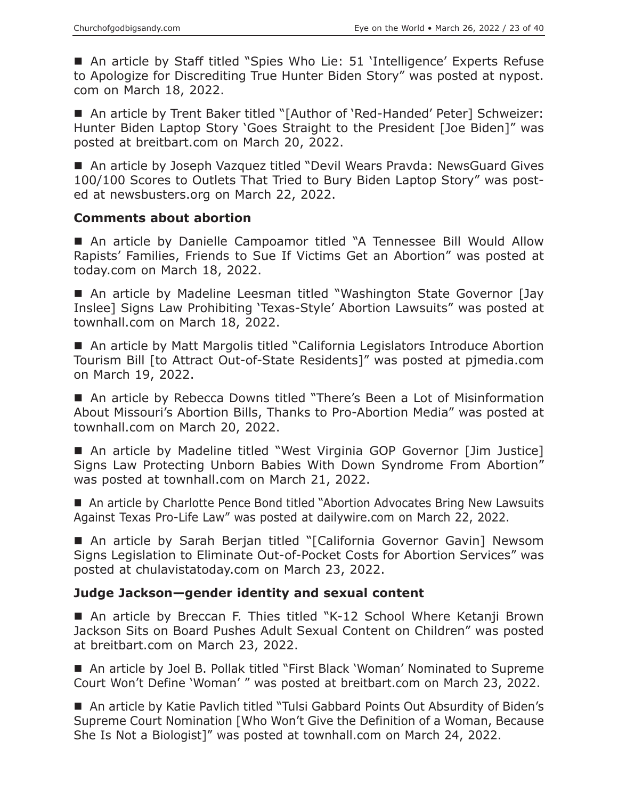■ An article by Staff titled "Spies Who Lie: 51 'Intelligence' Experts Refuse to Apologize for Discrediting True Hunter Biden Story" was posted at nypost. com on March 18, 2022.

■ An article by Trent Baker titled "[Author of 'Red-Handed' Peter] Schweizer: Hunter Biden Laptop Story 'Goes Straight to the President [Joe Biden]" was posted at breitbart.com on March 20, 2022.

■ An article by Joseph Vazquez titled "Devil Wears Pravda: NewsGuard Gives 100/100 Scores to Outlets That Tried to Bury Biden Laptop Story" was posted at newsbusters.org on March 22, 2022.

## **Comments about abortion**

 An article by Danielle Campoamor titled "A Tennessee Bill Would Allow Rapists' Families, Friends to Sue If Victims Get an Abortion" was posted at today.com on March 18, 2022.

■ An article by Madeline Leesman titled "Washington State Governor [Jay Inslee] Signs Law Prohibiting 'Texas-Style' Abortion Lawsuits" was posted at townhall.com on March 18, 2022.

■ An article by Matt Margolis titled "California Legislators Introduce Abortion Tourism Bill [to Attract Out-of-State Residents]" was posted at pjmedia.com on March 19, 2022.

■ An article by Rebecca Downs titled "There's Been a Lot of Misinformation About Missouri's Abortion Bills, Thanks to Pro-Abortion Media" was posted at townhall.com on March 20, 2022.

■ An article by Madeline titled "West Virginia GOP Governor [Jim Justice] Signs Law Protecting Unborn Babies With Down Syndrome From Abortion" was posted at townhall.com on March 21, 2022.

■ An article by Charlotte Pence Bond titled "Abortion Advocates Bring New Lawsuits Against Texas Pro-Life Law" was posted at dailywire.com on March 22, 2022.

 An article by Sarah Berjan titled "[California Governor Gavin] Newsom Signs Legislation to Eliminate Out-of-Pocket Costs for Abortion Services" was posted at chulavistatoday.com on March 23, 2022.

# **Judge Jackson—gender identity and sexual content**

■ An article by Breccan F. Thies titled "K-12 School Where Ketanji Brown Jackson Sits on Board Pushes Adult Sexual Content on Children" was posted at breitbart.com on March 23, 2022.

■ An article by Joel B. Pollak titled "First Black 'Woman' Nominated to Supreme Court Won't Define 'Woman' " was posted at breitbart.com on March 23, 2022.

■ An article by Katie Pavlich titled "Tulsi Gabbard Points Out Absurdity of Biden's Supreme Court Nomination [Who Won't Give the Definition of a Woman, Because She Is Not a Biologist]" was posted at townhall.com on March 24, 2022.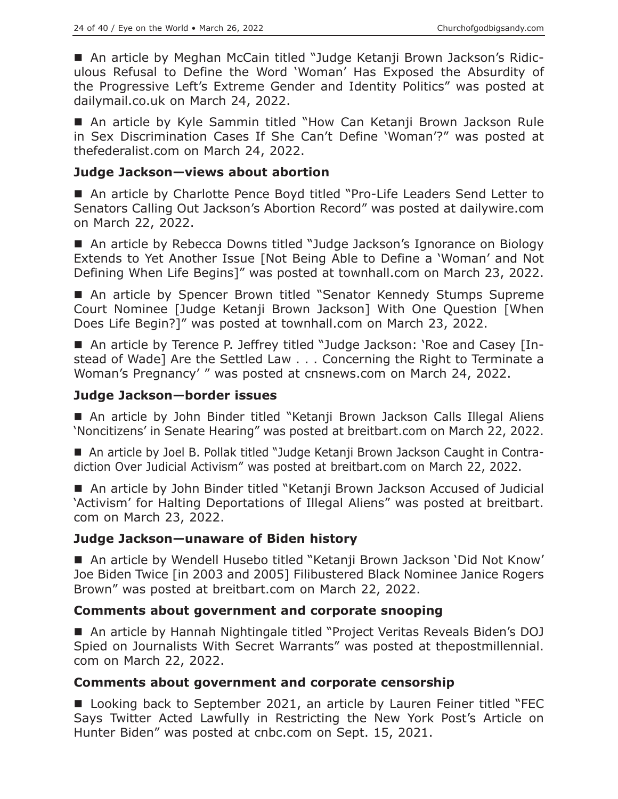■ An article by Meghan McCain titled "Judge Ketanji Brown Jackson's Ridiculous Refusal to Define the Word 'Woman' Has Exposed the Absurdity of the Progressive Left's Extreme Gender and Identity Politics" was posted at dailymail.co.uk on March 24, 2022.

 An article by Kyle Sammin titled "How Can Ketanji Brown Jackson Rule in Sex Discrimination Cases If She Can't Define 'Woman'?" was posted at thefederalist.com on March 24, 2022.

## **Judge Jackson—views about abortion**

■ An article by Charlotte Pence Boyd titled "Pro-Life Leaders Send Letter to Senators Calling Out Jackson's Abortion Record" was posted at dailywire.com on March 22, 2022.

■ An article by Rebecca Downs titled "Judge Jackson's Ignorance on Biology Extends to Yet Another Issue [Not Being Able to Define a 'Woman' and Not Defining When Life Begins]" was posted at townhall.com on March 23, 2022.

■ An article by Spencer Brown titled "Senator Kennedy Stumps Supreme Court Nominee [Judge Ketanji Brown Jackson] With One Question [When Does Life Begin?]" was posted at townhall.com on March 23, 2022.

 An article by Terence P. Jeffrey titled "Judge Jackson: 'Roe and Casey [Instead of Wade] Are the Settled Law . . . Concerning the Right to Terminate a Woman's Pregnancy' " was posted at cnsnews.com on March 24, 2022.

## **Judge Jackson—border issues**

 An article by John Binder titled "Ketanji Brown Jackson Calls Illegal Aliens 'Noncitizens' in Senate Hearing" was posted at breitbart.com on March 22, 2022.

 An article by Joel B. Pollak titled "Judge Ketanji Brown Jackson Caught in Contradiction Over Judicial Activism" was posted at breitbart.com on March 22, 2022.

■ An article by John Binder titled "Ketanji Brown Jackson Accused of Judicial 'Activism' for Halting Deportations of Illegal Aliens" was posted at breitbart. com on March 23, 2022.

# **Judge Jackson—unaware of Biden history**

■ An article by Wendell Husebo titled "Ketanji Brown Jackson 'Did Not Know' Joe Biden Twice [in 2003 and 2005] Filibustered Black Nominee Janice Rogers Brown" was posted at breitbart.com on March 22, 2022.

# **Comments about government and corporate snooping**

■ An article by Hannah Nightingale titled "Project Veritas Reveals Biden's DOJ Spied on Journalists With Secret Warrants" was posted at thepostmillennial. com on March 22, 2022.

## **Comments about government and corporate censorship**

■ Looking back to September 2021, an article by Lauren Feiner titled "FEC Says Twitter Acted Lawfully in Restricting the New York Post's Article on Hunter Biden" was posted at cnbc.com on Sept. 15, 2021.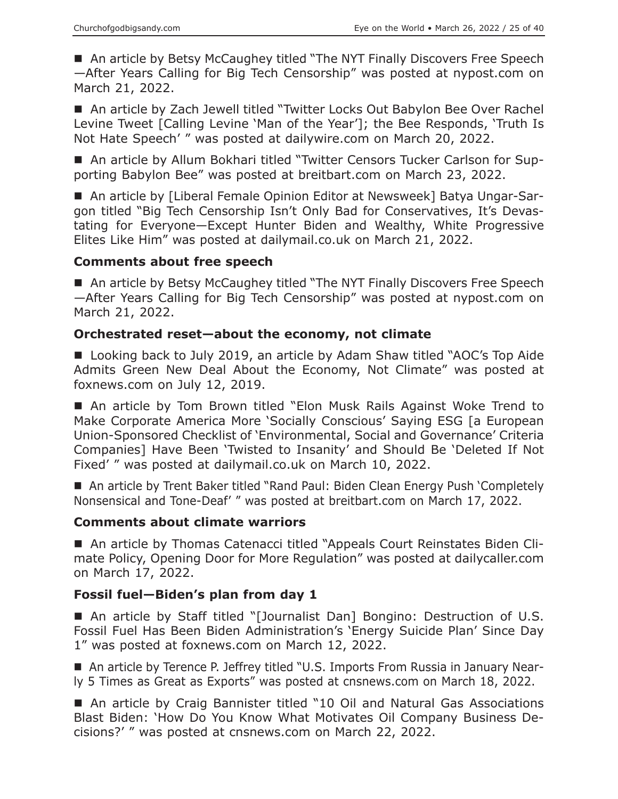■ An article by Betsy McCaughey titled "The NYT Finally Discovers Free Speech —After Years Calling for Big Tech Censorship" was posted at nypost.com on March 21, 2022.

■ An article by Zach Jewell titled "Twitter Locks Out Babylon Bee Over Rachel Levine Tweet [Calling Levine 'Man of the Year']; the Bee Responds, 'Truth Is Not Hate Speech' " was posted at dailywire.com on March 20, 2022.

■ An article by Allum Bokhari titled "Twitter Censors Tucker Carlson for Supporting Babylon Bee" was posted at breitbart.com on March 23, 2022.

■ An article by [Liberal Female Opinion Editor at Newsweek] Batya Ungar-Sargon titled "Big Tech Censorship Isn't Only Bad for Conservatives, It's Devastating for Everyone—Except Hunter Biden and Wealthy, White Progressive Elites Like Him" was posted at dailymail.co.uk on March 21, 2022.

# **Comments about free speech**

■ An article by Betsy McCaughey titled "The NYT Finally Discovers Free Speech —After Years Calling for Big Tech Censorship" was posted at nypost.com on March 21, 2022.

# **Orchestrated reset—about the economy, not climate**

■ Looking back to July 2019, an article by Adam Shaw titled "AOC's Top Aide Admits Green New Deal About the Economy, Not Climate" was posted at foxnews.com on July 12, 2019.

 An article by Tom Brown titled "Elon Musk Rails Against Woke Trend to Make Corporate America More 'Socially Conscious' Saying ESG [a European Union-Sponsored Checklist of 'Environmental, Social and Governance' Criteria Companies] Have Been 'Twisted to Insanity' and Should Be 'Deleted If Not Fixed' " was posted at dailymail.co.uk on March 10, 2022.

■ An article by Trent Baker titled "Rand Paul: Biden Clean Energy Push 'Completely Nonsensical and Tone-Deaf' " was posted at breitbart.com on March 17, 2022.

# **Comments about climate warriors**

 An article by Thomas Catenacci titled "Appeals Court Reinstates Biden Climate Policy, Opening Door for More Regulation" was posted at dailycaller.com on March 17, 2022.

# **Fossil fuel—Biden's plan from day 1**

■ An article by Staff titled "[Journalist Dan] Bongino: Destruction of U.S. Fossil Fuel Has Been Biden Administration's 'Energy Suicide Plan' Since Day 1" was posted at foxnews.com on March 12, 2022.

 An article by Terence P. Jeffrey titled "U.S. Imports From Russia in January Nearly 5 Times as Great as Exports" was posted at cnsnews.com on March 18, 2022.

■ An article by Craig Bannister titled "10 Oil and Natural Gas Associations Blast Biden: 'How Do You Know What Motivates Oil Company Business Decisions?' " was posted at cnsnews.com on March 22, 2022.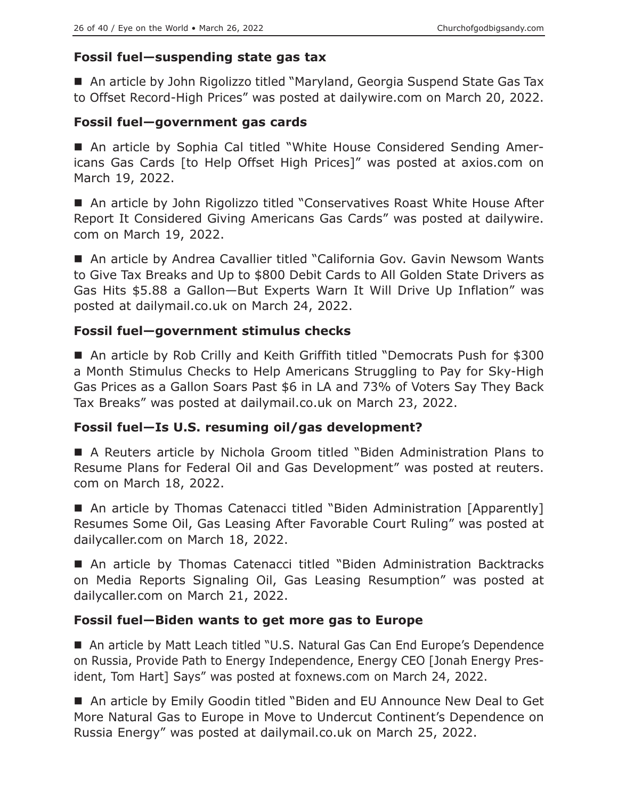# **Fossil fuel—suspending state gas tax**

■ An article by John Rigolizzo titled "Maryland, Georgia Suspend State Gas Tax to Offset Record-High Prices" was posted at dailywire.com on March 20, 2022.

# **Fossil fuel—government gas cards**

 An article by Sophia Cal titled "White House Considered Sending Americans Gas Cards [to Help Offset High Prices]" was posted at axios.com on March 19, 2022.

■ An article by John Rigolizzo titled "Conservatives Roast White House After Report It Considered Giving Americans Gas Cards" was posted at dailywire. com on March 19, 2022.

■ An article by Andrea Cavallier titled "California Gov. Gavin Newsom Wants to Give Tax Breaks and Up to \$800 Debit Cards to All Golden State Drivers as Gas Hits \$5.88 a Gallon—But Experts Warn It Will Drive Up Inflation" was posted at dailymail.co.uk on March 24, 2022.

# **Fossil fuel—government stimulus checks**

■ An article by Rob Crilly and Keith Griffith titled "Democrats Push for \$300 a Month Stimulus Checks to Help Americans Struggling to Pay for Sky-High Gas Prices as a Gallon Soars Past \$6 in LA and 73% of Voters Say They Back Tax Breaks" was posted at dailymail.co.uk on March 23, 2022.

# **Fossil fuel—Is U.S. resuming oil/gas development?**

 A Reuters article by Nichola Groom titled "Biden Administration Plans to Resume Plans for Federal Oil and Gas Development" was posted at reuters. com on March 18, 2022.

 An article by Thomas Catenacci titled "Biden Administration [Apparently] Resumes Some Oil, Gas Leasing After Favorable Court Ruling" was posted at dailycaller.com on March 18, 2022.

■ An article by Thomas Catenacci titled "Biden Administration Backtracks on Media Reports Signaling Oil, Gas Leasing Resumption" was posted at dailycaller.com on March 21, 2022.

# **Fossil fuel—Biden wants to get more gas to Europe**

■ An article by Matt Leach titled "U.S. Natural Gas Can End Europe's Dependence on Russia, Provide Path to Energy Independence, Energy CEO [Jonah Energy President, Tom Hart] Says" was posted at foxnews.com on March 24, 2022.

■ An article by Emily Goodin titled "Biden and EU Announce New Deal to Get More Natural Gas to Europe in Move to Undercut Continent's Dependence on Russia Energy" was posted at dailymail.co.uk on March 25, 2022.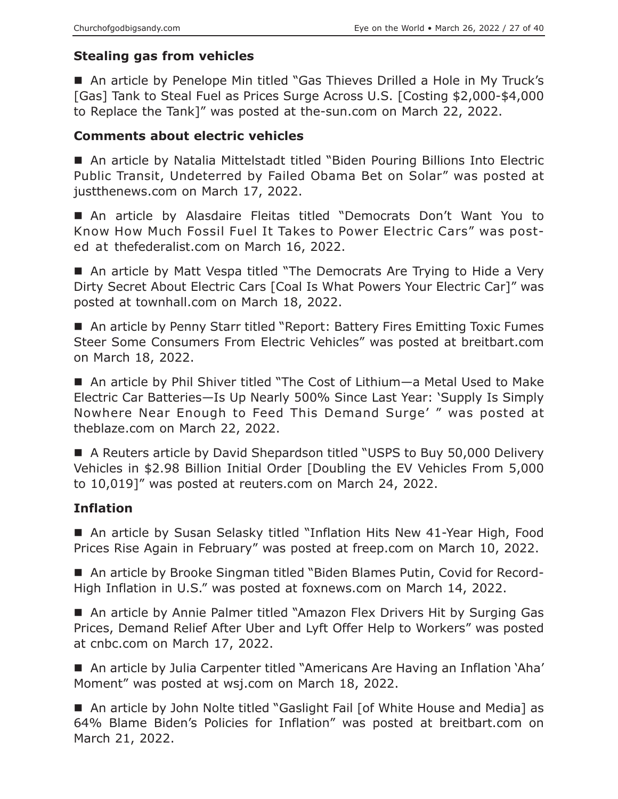# **Stealing gas from vehicles**

■ An article by Penelope Min titled "Gas Thieves Drilled a Hole in My Truck's [Gas] Tank to Steal Fuel as Prices Surge Across U.S. [Costing \$2,000-\$4,000 to Replace the Tank]" was posted at the-sun.com on March 22, 2022.

# **Comments about electric vehicles**

■ An article by Natalia Mittelstadt titled "Biden Pouring Billions Into Electric Public Transit, Undeterred by Failed Obama Bet on Solar" was posted at justthenews.com on March 17, 2022.

 An article by Alasdaire Fleitas titled "Democrats Don't Want You to Know How Much Fossil Fuel It Takes to Power Electric Cars" was posted at thefederalist.com on March 16, 2022.

■ An article by Matt Vespa titled "The Democrats Are Trying to Hide a Very Dirty Secret About Electric Cars [Coal Is What Powers Your Electric Car]" was posted at townhall.com on March 18, 2022.

■ An article by Penny Starr titled "Report: Battery Fires Emitting Toxic Fumes Steer Some Consumers From Electric Vehicles" was posted at breitbart.com on March 18, 2022.

■ An article by Phil Shiver titled "The Cost of Lithium—a Metal Used to Make Electric Car Batteries—Is Up Nearly 500% Since Last Year: 'Supply Is Simply Nowhere Near Enough to Feed This Demand Surge' " was posted at theblaze.com on March 22, 2022.

■ A Reuters article by David Shepardson titled "USPS to Buy 50,000 Delivery Vehicles in \$2.98 Billion Initial Order [Doubling the EV Vehicles From 5,000 to 10,019]" was posted at reuters.com on March 24, 2022.

# **Inflation**

■ An article by Susan Selasky titled "Inflation Hits New 41-Year High, Food Prices Rise Again in February" was posted at freep.com on March 10, 2022.

■ An article by Brooke Singman titled "Biden Blames Putin, Covid for Record-High Inflation in U.S." was posted at foxnews.com on March 14, 2022.

■ An article by Annie Palmer titled "Amazon Flex Drivers Hit by Surging Gas Prices, Demand Relief After Uber and Lyft Offer Help to Workers" was posted at cnbc.com on March 17, 2022.

■ An article by Julia Carpenter titled "Americans Are Having an Inflation 'Aha' Moment" was posted at wsj.com on March 18, 2022.

■ An article by John Nolte titled "Gaslight Fail [of White House and Media] as 64% Blame Biden's Policies for Inflation" was posted at breitbart.com on March 21, 2022.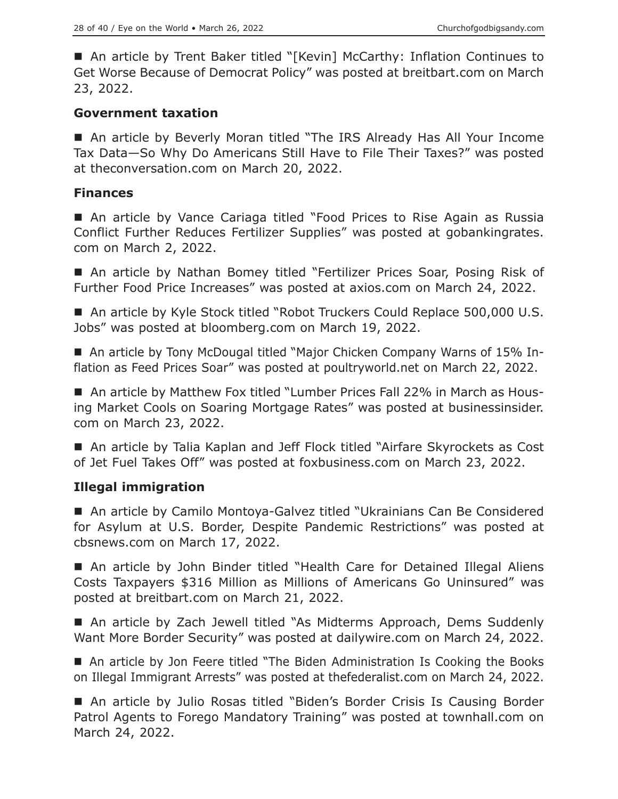■ An article by Trent Baker titled "[Kevin] McCarthy: Inflation Continues to Get Worse Because of Democrat Policy" was posted at breitbart.com on March 23, 2022.

## **Government taxation**

■ An article by Beverly Moran titled "The IRS Already Has All Your Income Tax Data—So Why Do Americans Still Have to File Their Taxes?" was posted at theconversation.com on March 20, 2022.

## **Finances**

■ An article by Vance Cariaga titled "Food Prices to Rise Again as Russia Conflict Further Reduces Fertilizer Supplies" was posted at gobankingrates. com on March 2, 2022.

■ An article by Nathan Bomey titled "Fertilizer Prices Soar, Posing Risk of Further Food Price Increases" was posted at axios.com on March 24, 2022.

■ An article by Kyle Stock titled "Robot Truckers Could Replace 500,000 U.S. Jobs" was posted at bloomberg.com on March 19, 2022.

■ An article by Tony McDougal titled "Major Chicken Company Warns of 15% Inflation as Feed Prices Soar" was posted at poultryworld.net on March 22, 2022.

■ An article by Matthew Fox titled "Lumber Prices Fall 22% in March as Housing Market Cools on Soaring Mortgage Rates" was posted at businessinsider. com on March 23, 2022.

■ An article by Talia Kaplan and Jeff Flock titled "Airfare Skyrockets as Cost of Jet Fuel Takes Off" was posted at foxbusiness.com on March 23, 2022.

# **Illegal immigration**

■ An article by Camilo Montoya-Galvez titled "Ukrainians Can Be Considered for Asylum at U.S. Border, Despite Pandemic Restrictions" was posted at cbsnews.com on March 17, 2022.

■ An article by John Binder titled "Health Care for Detained Illegal Aliens Costs Taxpayers \$316 Million as Millions of Americans Go Uninsured" was posted at breitbart.com on March 21, 2022.

■ An article by Zach Jewell titled "As Midterms Approach, Dems Suddenly Want More Border Security" was posted at dailywire.com on March 24, 2022.

 An article by Jon Feere titled "The Biden Administration Is Cooking the Books on Illegal Immigrant Arrests" was posted at thefederalist.com on March 24, 2022.

■ An article by Julio Rosas titled "Biden's Border Crisis Is Causing Border Patrol Agents to Forego Mandatory Training" was posted at townhall.com on March 24, 2022.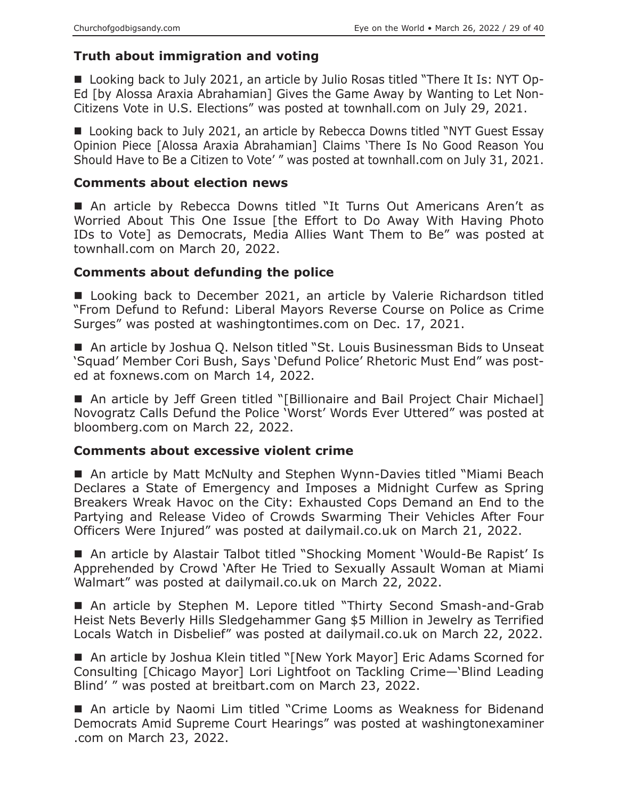# **Truth about immigration and voting**

■ Looking back to July 2021, an article by Julio Rosas titled "There It Is: NYT Op-Ed [by Alossa Araxia Abrahamian] Gives the Game Away by Wanting to Let Non-Citizens Vote in U.S. Elections" was posted at townhall.com on July 29, 2021.

■ Looking back to July 2021, an article by Rebecca Downs titled "NYT Guest Essay Opinion Piece [Alossa Araxia Abrahamian] Claims 'There Is No Good Reason You Should Have to Be a Citizen to Vote' " was posted at townhall.com on July 31, 2021.

# **Comments about election news**

■ An article by Rebecca Downs titled "It Turns Out Americans Aren't as Worried About This One Issue [the Effort to Do Away With Having Photo IDs to Vote] as Democrats, Media Allies Want Them to Be" was posted at townhall.com on March 20, 2022.

# **Comments about defunding the police**

■ Looking back to December 2021, an article by Valerie Richardson titled "From Defund to Refund: Liberal Mayors Reverse Course on Police as Crime Surges" was posted at washingtontimes.com on Dec. 17, 2021.

■ An article by Joshua Q. Nelson titled "St. Louis Businessman Bids to Unseat 'Squad' Member Cori Bush, Says 'Defund Police' Rhetoric Must End" was posted at foxnews.com on March 14, 2022.

■ An article by Jeff Green titled "[Billionaire and Bail Project Chair Michael] Novogratz Calls Defund the Police 'Worst' Words Ever Uttered" was posted at bloomberg.com on March 22, 2022.

# **Comments about excessive violent crime**

■ An article by Matt McNulty and Stephen Wynn-Davies titled "Miami Beach Declares a State of Emergency and Imposes a Midnight Curfew as Spring Breakers Wreak Havoc on the City: Exhausted Cops Demand an End to the Partying and Release Video of Crowds Swarming Their Vehicles After Four Officers Were Injured" was posted at dailymail.co.uk on March 21, 2022.

■ An article by Alastair Talbot titled "Shocking Moment 'Would-Be Rapist' Is Apprehended by Crowd 'After He Tried to Sexually Assault Woman at Miami Walmart" was posted at dailymail.co.uk on March 22, 2022.

■ An article by Stephen M. Lepore titled "Thirty Second Smash-and-Grab Heist Nets Beverly Hills Sledgehammer Gang \$5 Million in Jewelry as Terrified Locals Watch in Disbelief" was posted at dailymail.co.uk on March 22, 2022.

■ An article by Joshua Klein titled "[New York Mayor] Eric Adams Scorned for Consulting [Chicago Mayor] Lori Lightfoot on Tackling Crime—'Blind Leading Blind' " was posted at breitbart.com on March 23, 2022.

 An article by Naomi Lim titled "Crime Looms as Weakness for Bidenand Democrats Amid Supreme Court Hearings" was posted at washingtonexaminer .com on March 23, 2022.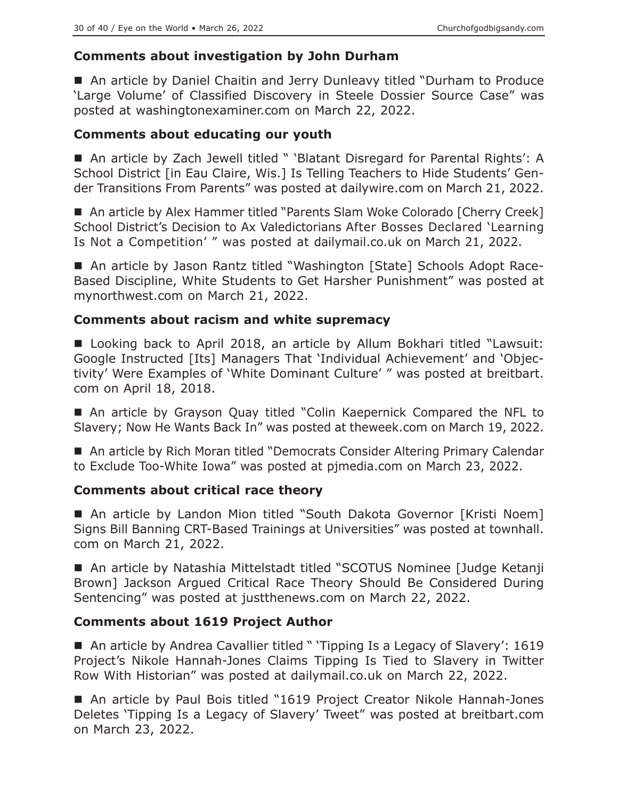# **Comments about investigation by John Durham**

■ An article by Daniel Chaitin and Jerry Dunleavy titled "Durham to Produce 'Large Volume' of Classified Discovery in Steele Dossier Source Case" was posted at washingtonexaminer.com on March 22, 2022.

# **Comments about educating our youth**

■ An article by Zach Jewell titled " 'Blatant Disregard for Parental Rights': A School District [in Eau Claire, Wis.] Is Telling Teachers to Hide Students' Gender Transitions From Parents" was posted at dailywire.com on March 21, 2022.

■ An article by Alex Hammer titled "Parents Slam Woke Colorado [Cherry Creek] School District's Decision to Ax Valedictorians After Bosses Declared 'Learning Is Not a Competition' " was posted at dailymail.co.uk on March 21, 2022.

■ An article by Jason Rantz titled "Washington [State] Schools Adopt Race-Based Discipline, White Students to Get Harsher Punishment" was posted at mynorthwest.com on March 21, 2022.

# **Comments about racism and white supremacy**

■ Looking back to April 2018, an article by Allum Bokhari titled "Lawsuit: Google Instructed [Its] Managers That 'Individual Achievement' and 'Objectivity' Were Examples of 'White Dominant Culture' " was posted at breitbart. com on April 18, 2018.

■ An article by Grayson Quay titled "Colin Kaepernick Compared the NFL to Slavery; Now He Wants Back In" was posted at theweek.com on March 19, 2022.

■ An article by Rich Moran titled "Democrats Consider Altering Primary Calendar to Exclude Too-White Iowa" was posted at pjmedia.com on March 23, 2022.

# **Comments about critical race theory**

■ An article by Landon Mion titled "South Dakota Governor [Kristi Noem] Signs Bill Banning CRT-Based Trainings at Universities" was posted at townhall. com on March 21, 2022.

■ An article by Natashia Mittelstadt titled "SCOTUS Nominee [Judge Ketanji Brown] Jackson Argued Critical Race Theory Should Be Considered During Sentencing" was posted at justthenews.com on March 22, 2022.

# **Comments about 1619 Project Author**

■ An article by Andrea Cavallier titled " 'Tipping Is a Legacy of Slavery': 1619 Project's Nikole Hannah-Jones Claims Tipping Is Tied to Slavery in Twitter Row With Historian" was posted at dailymail.co.uk on March 22, 2022.

■ An article by Paul Bois titled "1619 Project Creator Nikole Hannah-Jones Deletes 'Tipping Is a Legacy of Slavery' Tweet" was posted at breitbart.com on March 23, 2022.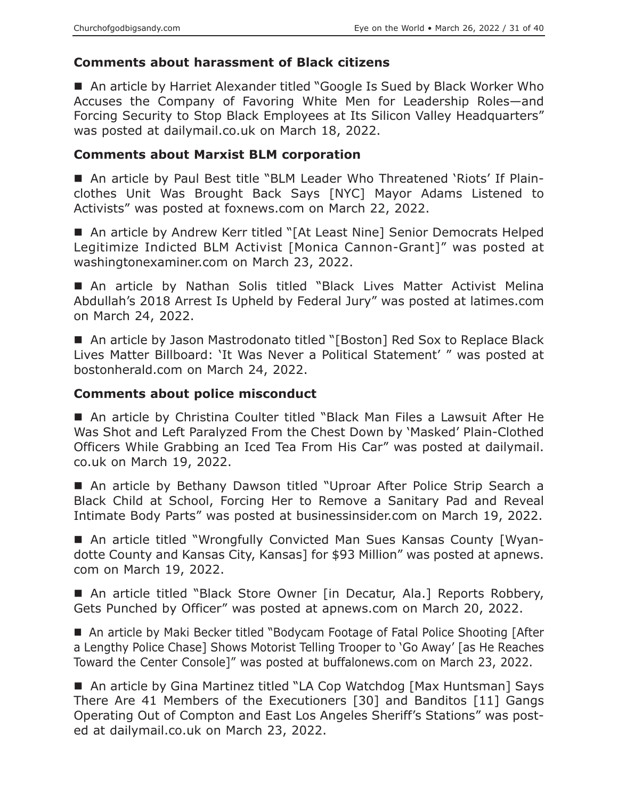# **Comments about harassment of Black citizens**

■ An article by Harriet Alexander titled "Google Is Sued by Black Worker Who Accuses the Company of Favoring White Men for Leadership Roles—and Forcing Security to Stop Black Employees at Its Silicon Valley Headquarters" was posted at dailymail.co.uk on March 18, 2022.

# **Comments about Marxist BLM corporation**

 An article by Paul Best title "BLM Leader Who Threatened 'Riots' If Plainclothes Unit Was Brought Back Says [NYC] Mayor Adams Listened to Activists" was posted at foxnews.com on March 22, 2022.

■ An article by Andrew Kerr titled "[At Least Nine] Senior Democrats Helped Legitimize Indicted BLM Activist [Monica Cannon-Grant]" was posted at washingtonexaminer.com on March 23, 2022.

 An article by Nathan Solis titled "Black Lives Matter Activist Melina Abdullah's 2018 Arrest Is Upheld by Federal Jury" was posted at latimes.com on March 24, 2022.

■ An article by Jason Mastrodonato titled "[Boston] Red Sox to Replace Black Lives Matter Billboard: 'It Was Never a Political Statement' " was posted at bostonherald.com on March 24, 2022.

# **Comments about police misconduct**

 An article by Christina Coulter titled "Black Man Files a Lawsuit After He Was Shot and Left Paralyzed From the Chest Down by 'Masked' Plain-Clothed Officers While Grabbing an Iced Tea From His Car" was posted at dailymail. co.uk on March 19, 2022.

■ An article by Bethany Dawson titled "Uproar After Police Strip Search a Black Child at School, Forcing Her to Remove a Sanitary Pad and Reveal Intimate Body Parts" was posted at businessinsider.com on March 19, 2022.

 An article titled "Wrongfully Convicted Man Sues Kansas County [Wyandotte County and Kansas City, Kansas] for \$93 Million" was posted at apnews. com on March 19, 2022.

■ An article titled "Black Store Owner [in Decatur, Ala.] Reports Robbery, Gets Punched by Officer" was posted at apnews.com on March 20, 2022.

■ An article by Maki Becker titled "Bodycam Footage of Fatal Police Shooting [After a Lengthy Police Chase] Shows Motorist Telling Trooper to 'Go Away' [as He Reaches Toward the Center Console]" was posted at buffalonews.com on March 23, 2022.

■ An article by Gina Martinez titled "LA Cop Watchdog [Max Huntsman] Says There Are 41 Members of the Executioners [30] and Banditos [11] Gangs Operating Out of Compton and East Los Angeles Sheriff's Stations" was posted at dailymail.co.uk on March 23, 2022.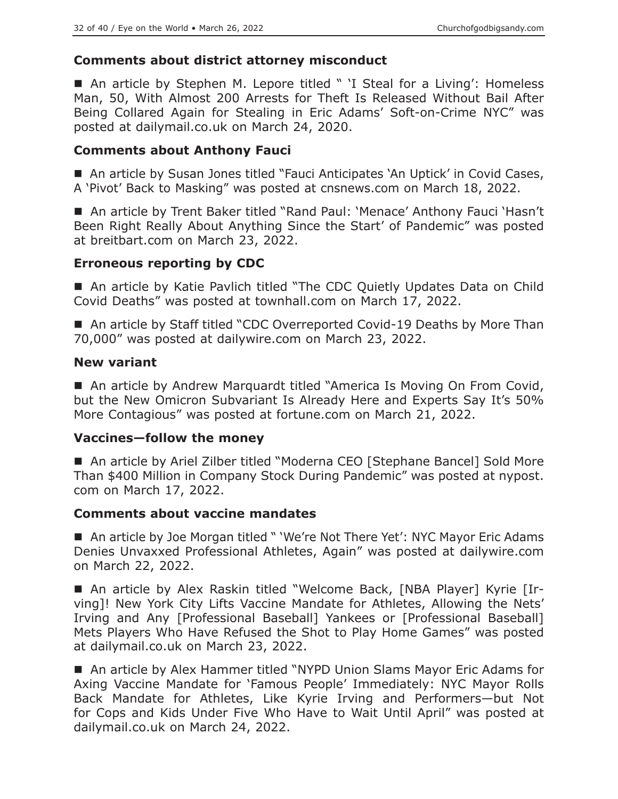# **Comments about district attorney misconduct**

■ An article by Stephen M. Lepore titled " 'I Steal for a Living': Homeless Man, 50, With Almost 200 Arrests for Theft Is Released Without Bail After Being Collared Again for Stealing in Eric Adams' Soft-on-Crime NYC" was posted at dailymail.co.uk on March 24, 2020.

# **Comments about Anthony Fauci**

■ An article by Susan Jones titled "Fauci Anticipates 'An Uptick' in Covid Cases, A 'Pivot' Back to Masking" was posted at cnsnews.com on March 18, 2022.

■ An article by Trent Baker titled "Rand Paul: 'Menace' Anthony Fauci 'Hasn't Been Right Really About Anything Since the Start' of Pandemic" was posted at breitbart.com on March 23, 2022.

# **Erroneous reporting by CDC**

■ An article by Katie Pavlich titled "The CDC Quietly Updates Data on Child Covid Deaths" was posted at townhall.com on March 17, 2022.

■ An article by Staff titled "CDC Overreported Covid-19 Deaths by More Than 70,000" was posted at dailywire.com on March 23, 2022.

## **New variant**

■ An article by Andrew Marquardt titled "America Is Moving On From Covid, but the New Omicron Subvariant Is Already Here and Experts Say It's 50% More Contagious" was posted at fortune.com on March 21, 2022.

## **Vaccines—follow the money**

■ An article by Ariel Zilber titled "Moderna CEO [Stephane Bancel] Sold More Than \$400 Million in Company Stock During Pandemic" was posted at nypost. com on March 17, 2022.

# **Comments about vaccine mandates**

■ An article by Joe Morgan titled " 'We're Not There Yet': NYC Mayor Eric Adams Denies Unvaxxed Professional Athletes, Again" was posted at dailywire.com on March 22, 2022.

 An article by Alex Raskin titled "Welcome Back, [NBA Player] Kyrie [Irving]! New York City Lifts Vaccine Mandate for Athletes, Allowing the Nets' Irving and Any [Professional Baseball] Yankees or [Professional Baseball] Mets Players Who Have Refused the Shot to Play Home Games" was posted at dailymail.co.uk on March 23, 2022.

■ An article by Alex Hammer titled "NYPD Union Slams Mayor Eric Adams for Axing Vaccine Mandate for 'Famous People' Immediately: NYC Mayor Rolls Back Mandate for Athletes, Like Kyrie Irving and Performers—but Not for Cops and Kids Under Five Who Have to Wait Until April" was posted at dailymail.co.uk on March 24, 2022.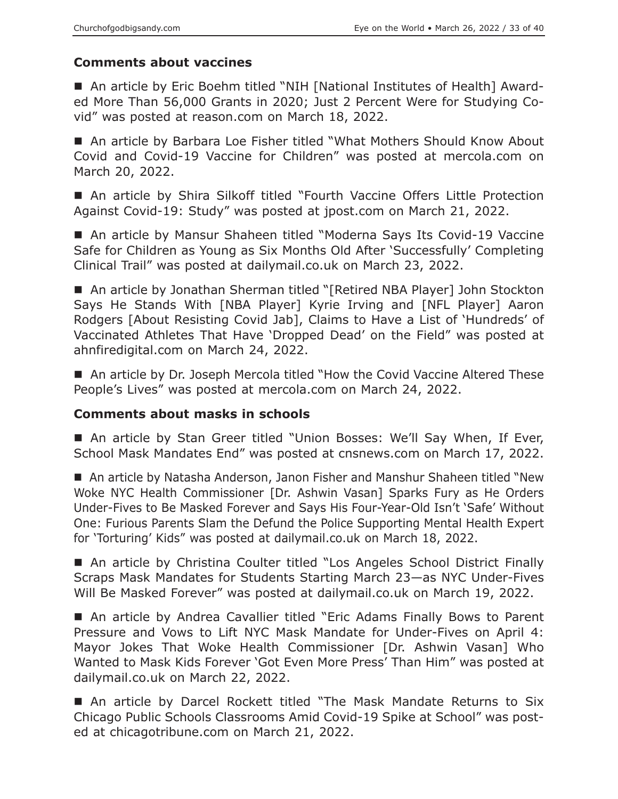# **Comments about vaccines**

■ An article by Eric Boehm titled "NIH [National Institutes of Health] Awarded More Than 56,000 Grants in 2020; Just 2 Percent Were for Studying Covid" was posted at reason.com on March 18, 2022.

■ An article by Barbara Loe Fisher titled "What Mothers Should Know About Covid and Covid-19 Vaccine for Children" was posted at mercola.com on March 20, 2022.

■ An article by Shira Silkoff titled "Fourth Vaccine Offers Little Protection Against Covid-19: Study" was posted at jpost.com on March 21, 2022.

■ An article by Mansur Shaheen titled "Moderna Says Its Covid-19 Vaccine Safe for Children as Young as Six Months Old After 'Successfully' Completing Clinical Trail" was posted at dailymail.co.uk on March 23, 2022.

■ An article by Jonathan Sherman titled "[Retired NBA Player] John Stockton Says He Stands With [NBA Player] Kyrie Irving and [NFL Player] Aaron Rodgers [About Resisting Covid Jab], Claims to Have a List of 'Hundreds' of Vaccinated Athletes That Have 'Dropped Dead' on the Field" was posted at ahnfiredigital.com on March 24, 2022.

■ An article by Dr. Joseph Mercola titled "How the Covid Vaccine Altered These People's Lives" was posted at mercola.com on March 24, 2022.

# **Comments about masks in schools**

■ An article by Stan Greer titled "Union Bosses: We'll Say When, If Ever, School Mask Mandates End" was posted at cnsnews.com on March 17, 2022.

 An article by Natasha Anderson, Janon Fisher and Manshur Shaheen titled "New Woke NYC Health Commissioner [Dr. Ashwin Vasan] Sparks Fury as He Orders Under-Fives to Be Masked Forever and Says His Four-Year-Old Isn't 'Safe' Without One: Furious Parents Slam the Defund the Police Supporting Mental Health Expert for 'Torturing' Kids" was posted at dailymail.co.uk on March 18, 2022.

■ An article by Christina Coulter titled "Los Angeles School District Finally Scraps Mask Mandates for Students Starting March 23—as NYC Under-Fives Will Be Masked Forever" was posted at dailymail.co.uk on March 19, 2022.

■ An article by Andrea Cavallier titled "Eric Adams Finally Bows to Parent Pressure and Vows to Lift NYC Mask Mandate for Under-Fives on April 4: Mayor Jokes That Woke Health Commissioner [Dr. Ashwin Vasan] Who Wanted to Mask Kids Forever 'Got Even More Press' Than Him" was posted at dailymail.co.uk on March 22, 2022.

■ An article by Darcel Rockett titled "The Mask Mandate Returns to Six Chicago Public Schools Classrooms Amid Covid-19 Spike at School" was posted at chicagotribune.com on March 21, 2022.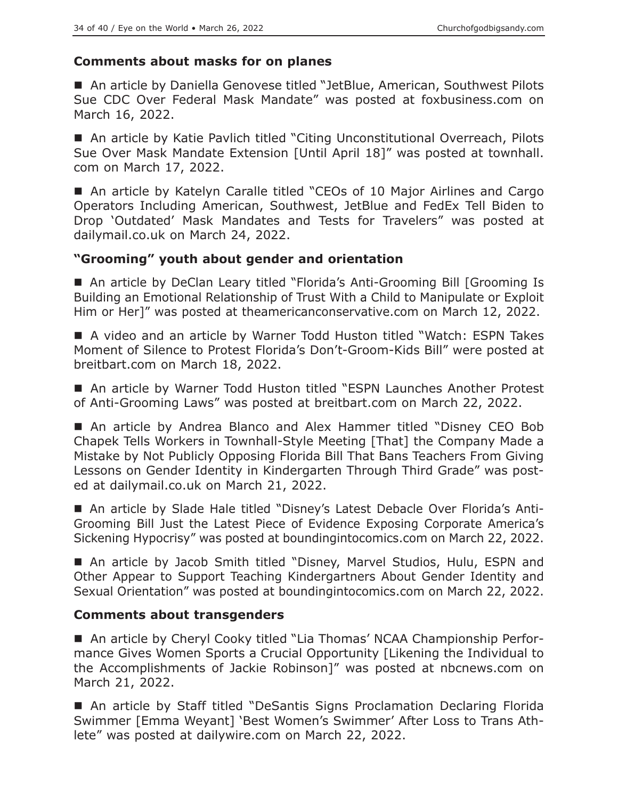# **Comments about masks for on planes**

■ An article by Daniella Genovese titled "JetBlue, American, Southwest Pilots Sue CDC Over Federal Mask Mandate" was posted at foxbusiness.com on March 16, 2022.

■ An article by Katie Pavlich titled "Citing Unconstitutional Overreach, Pilots Sue Over Mask Mandate Extension [Until April 18]" was posted at townhall. com on March 17, 2022.

■ An article by Katelyn Caralle titled "CEOs of 10 Major Airlines and Cargo Operators Including American, Southwest, JetBlue and FedEx Tell Biden to Drop 'Outdated' Mask Mandates and Tests for Travelers" was posted at dailymail.co.uk on March 24, 2022.

# **"Grooming" youth about gender and orientation**

■ An article by DeClan Leary titled "Florida's Anti-Grooming Bill [Grooming Is Building an Emotional Relationship of Trust With a Child to Manipulate or Exploit Him or Her]" was posted at theamericanconservative.com on March 12, 2022.

■ A video and an article by Warner Todd Huston titled "Watch: ESPN Takes Moment of Silence to Protest Florida's Don't-Groom-Kids Bill" were posted at breitbart.com on March 18, 2022.

■ An article by Warner Todd Huston titled "ESPN Launches Another Protest of Anti-Grooming Laws" was posted at breitbart.com on March 22, 2022.

 An article by Andrea Blanco and Alex Hammer titled "Disney CEO Bob Chapek Tells Workers in Townhall-Style Meeting [That] the Company Made a Mistake by Not Publicly Opposing Florida Bill That Bans Teachers From Giving Lessons on Gender Identity in Kindergarten Through Third Grade" was posted at dailymail.co.uk on March 21, 2022.

 An article by Slade Hale titled "Disney's Latest Debacle Over Florida's Anti-Grooming Bill Just the Latest Piece of Evidence Exposing Corporate America's Sickening Hypocrisy" was posted at boundingintocomics.com on March 22, 2022.

■ An article by Jacob Smith titled "Disney, Marvel Studios, Hulu, ESPN and Other Appear to Support Teaching Kindergartners About Gender Identity and Sexual Orientation" was posted at boundingintocomics.com on March 22, 2022.

# **Comments about transgenders**

■ An article by Cheryl Cooky titled "Lia Thomas' NCAA Championship Performance Gives Women Sports a Crucial Opportunity [Likening the Individual to the Accomplishments of Jackie Robinson]" was posted at nbcnews.com on March 21, 2022.

■ An article by Staff titled "DeSantis Signs Proclamation Declaring Florida Swimmer [Emma Weyant] 'Best Women's Swimmer' After Loss to Trans Athlete" was posted at dailywire.com on March 22, 2022.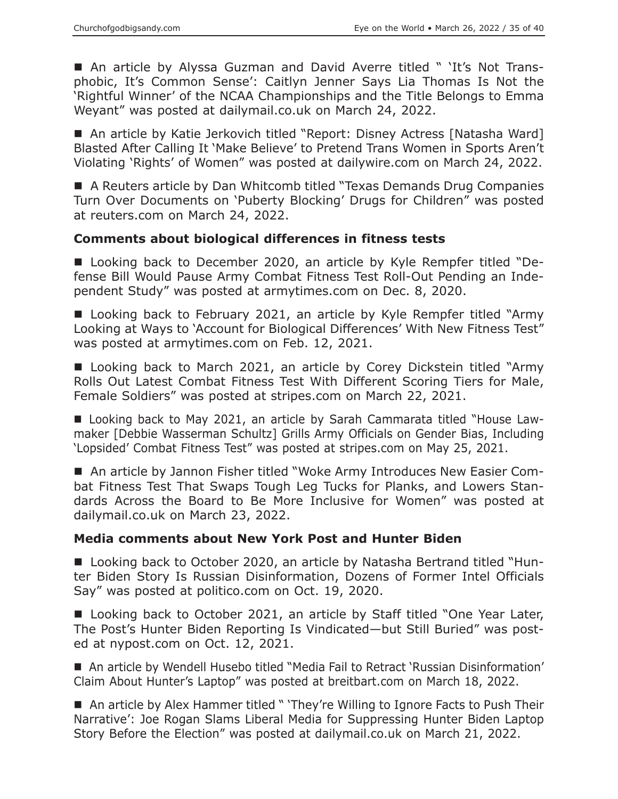An article by Alyssa Guzman and David Averre titled " 'It's Not Transphobic, It's Common Sense': Caitlyn Jenner Says Lia Thomas Is Not the 'Rightful Winner' of the NCAA Championships and the Title Belongs to Emma Weyant" was posted at dailymail.co.uk on March 24, 2022.

■ An article by Katie Jerkovich titled "Report: Disney Actress [Natasha Ward] Blasted After Calling It 'Make Believe' to Pretend Trans Women in Sports Aren't Violating 'Rights' of Women" was posted at dailywire.com on March 24, 2022.

■ A Reuters article by Dan Whitcomb titled "Texas Demands Drug Companies Turn Over Documents on 'Puberty Blocking' Drugs for Children" was posted at reuters.com on March 24, 2022.

## **Comments about biological differences in fitness tests**

■ Looking back to December 2020, an article by Kyle Rempfer titled "Defense Bill Would Pause Army Combat Fitness Test Roll-Out Pending an Independent Study" was posted at armytimes.com on Dec. 8, 2020.

■ Looking back to February 2021, an article by Kyle Rempfer titled "Army Looking at Ways to 'Account for Biological Differences' With New Fitness Test" was posted at armytimes.com on Feb. 12, 2021.

■ Looking back to March 2021, an article by Corey Dickstein titled "Army Rolls Out Latest Combat Fitness Test With Different Scoring Tiers for Male, Female Soldiers" was posted at stripes.com on March 22, 2021.

■ Looking back to May 2021, an article by Sarah Cammarata titled "House Lawmaker [Debbie Wasserman Schultz] Grills Army Officials on Gender Bias, Including 'Lopsided' Combat Fitness Test" was posted at stripes.com on May 25, 2021.

■ An article by Jannon Fisher titled "Woke Army Introduces New Easier Combat Fitness Test That Swaps Tough Leg Tucks for Planks, and Lowers Standards Across the Board to Be More Inclusive for Women" was posted at dailymail.co.uk on March 23, 2022.

## **Media comments about New York Post and Hunter Biden**

■ Looking back to October 2020, an article by Natasha Bertrand titled "Hunter Biden Story Is Russian Disinformation, Dozens of Former Intel Officials Say" was posted at politico.com on Oct. 19, 2020.

■ Looking back to October 2021, an article by Staff titled "One Year Later, The Post's Hunter Biden Reporting Is Vindicated—but Still Buried" was posted at nypost.com on Oct. 12, 2021.

■ An article by Wendell Husebo titled "Media Fail to Retract 'Russian Disinformation' Claim About Hunter's Laptop" was posted at breitbart.com on March 18, 2022.

■ An article by Alex Hammer titled " 'They're Willing to Ignore Facts to Push Their Narrative': Joe Rogan Slams Liberal Media for Suppressing Hunter Biden Laptop Story Before the Election" was posted at dailymail.co.uk on March 21, 2022.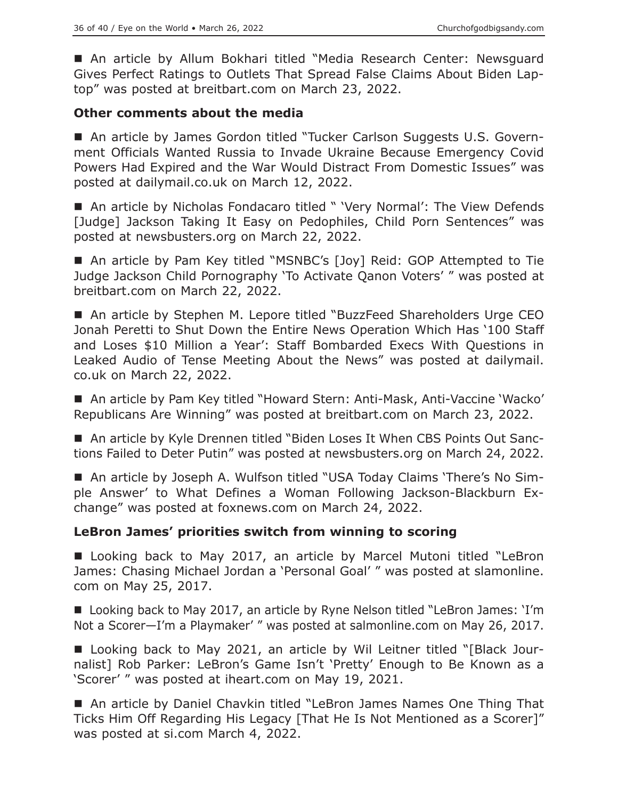■ An article by Allum Bokhari titled "Media Research Center: Newsguard Gives Perfect Ratings to Outlets That Spread False Claims About Biden Laptop" was posted at breitbart.com on March 23, 2022.

## **Other comments about the media**

■ An article by James Gordon titled "Tucker Carlson Suggests U.S. Government Officials Wanted Russia to Invade Ukraine Because Emergency Covid Powers Had Expired and the War Would Distract From Domestic Issues" was posted at dailymail.co.uk on March 12, 2022.

■ An article by Nicholas Fondacaro titled " 'Very Normal': The View Defends [Judge] Jackson Taking It Easy on Pedophiles, Child Porn Sentences" was posted at newsbusters.org on March 22, 2022.

■ An article by Pam Key titled "MSNBC's [Joy] Reid: GOP Attempted to Tie Judge Jackson Child Pornography 'To Activate Qanon Voters' " was posted at breitbart.com on March 22, 2022.

■ An article by Stephen M. Lepore titled "BuzzFeed Shareholders Urge CEO Jonah Peretti to Shut Down the Entire News Operation Which Has '100 Staff and Loses \$10 Million a Year': Staff Bombarded Execs With Questions in Leaked Audio of Tense Meeting About the News" was posted at dailymail. co.uk on March 22, 2022.

■ An article by Pam Key titled "Howard Stern: Anti-Mask, Anti-Vaccine 'Wacko' Republicans Are Winning" was posted at breitbart.com on March 23, 2022.

■ An article by Kyle Drennen titled "Biden Loses It When CBS Points Out Sanctions Failed to Deter Putin" was posted at newsbusters.org on March 24, 2022.

■ An article by Joseph A. Wulfson titled "USA Today Claims 'There's No Simple Answer' to What Defines a Woman Following Jackson-Blackburn Exchange" was posted at foxnews.com on March 24, 2022.

# **LeBron James' priorities switch from winning to scoring**

■ Looking back to May 2017, an article by Marcel Mutoni titled "LeBron James: Chasing Michael Jordan a 'Personal Goal' " was posted at slamonline. com on May 25, 2017.

■ Looking back to May 2017, an article by Ryne Nelson titled "LeBron James: 'I'm Not a Scorer—I'm a Playmaker' " was posted at salmonline.com on May 26, 2017.

■ Looking back to May 2021, an article by Wil Leitner titled "[Black Journalist] Rob Parker: LeBron's Game Isn't 'Pretty' Enough to Be Known as a 'Scorer' " was posted at iheart.com on May 19, 2021.

■ An article by Daniel Chavkin titled "LeBron James Names One Thing That Ticks Him Off Regarding His Legacy [That He Is Not Mentioned as a Scorer]" was posted at si.com March 4, 2022.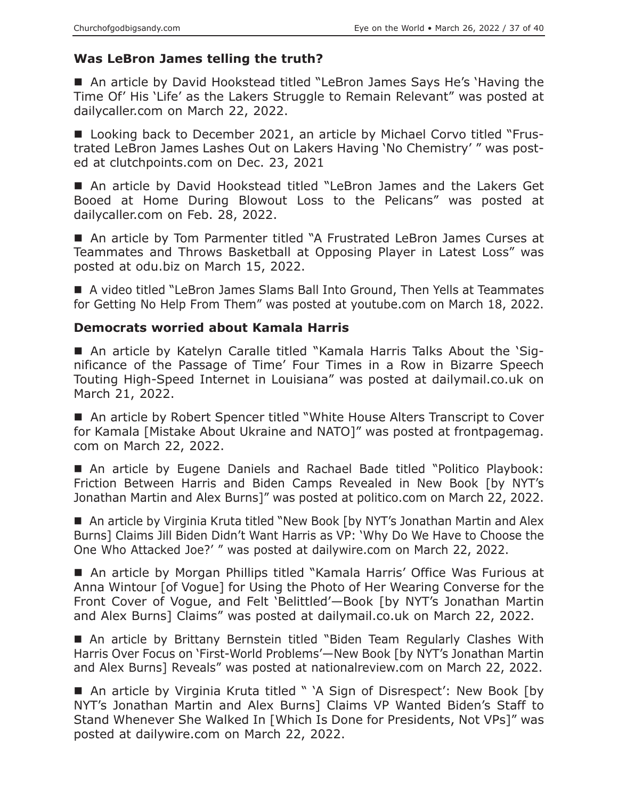# **Was LeBron James telling the truth?**

■ An article by David Hookstead titled "LeBron James Says He's 'Having the Time Of' His 'Life' as the Lakers Struggle to Remain Relevant" was posted at dailycaller.com on March 22, 2022.

■ Looking back to December 2021, an article by Michael Corvo titled "Frustrated LeBron James Lashes Out on Lakers Having 'No Chemistry' " was posted at clutchpoints.com on Dec. 23, 2021

 An article by David Hookstead titled "LeBron James and the Lakers Get Booed at Home During Blowout Loss to the Pelicans" was posted at dailycaller.com on Feb. 28, 2022.

■ An article by Tom Parmenter titled "A Frustrated LeBron James Curses at Teammates and Throws Basketball at Opposing Player in Latest Loss" was posted at odu.biz on March 15, 2022.

 A video titled "LeBron James Slams Ball Into Ground, Then Yells at Teammates for Getting No Help From Them" was posted at youtube.com on March 18, 2022.

# **Democrats worried about Kamala Harris**

 An article by Katelyn Caralle titled "Kamala Harris Talks About the 'Significance of the Passage of Time' Four Times in a Row in Bizarre Speech Touting High-Speed Internet in Louisiana" was posted at dailymail.co.uk on March 21, 2022.

■ An article by Robert Spencer titled "White House Alters Transcript to Cover for Kamala [Mistake About Ukraine and NATO]" was posted at frontpagemag. com on March 22, 2022.

 An article by Eugene Daniels and Rachael Bade titled "Politico Playbook: Friction Between Harris and Biden Camps Revealed in New Book [by NYT's Jonathan Martin and Alex Burns]" was posted at politico.com on March 22, 2022.

■ An article by Virginia Kruta titled "New Book [by NYT's Jonathan Martin and Alex Burns] Claims Jill Biden Didn't Want Harris as VP: 'Why Do We Have to Choose the One Who Attacked Joe?' " was posted at dailywire.com on March 22, 2022.

■ An article by Morgan Phillips titled "Kamala Harris' Office Was Furious at Anna Wintour [of Vogue] for Using the Photo of Her Wearing Converse for the Front Cover of Vogue, and Felt 'Belittled'—Book [by NYT's Jonathan Martin and Alex Burns] Claims" was posted at dailymail.co.uk on March 22, 2022.

 An article by Brittany Bernstein titled "Biden Team Regularly Clashes With Harris Over Focus on 'First-World Problems'—New Book [by NYT's Jonathan Martin and Alex Burns] Reveals" was posted at nationalreview.com on March 22, 2022.

■ An article by Virginia Kruta titled " 'A Sign of Disrespect': New Book [by NYT's Jonathan Martin and Alex Burns] Claims VP Wanted Biden's Staff to Stand Whenever She Walked In [Which Is Done for Presidents, Not VPs]" was posted at dailywire.com on March 22, 2022.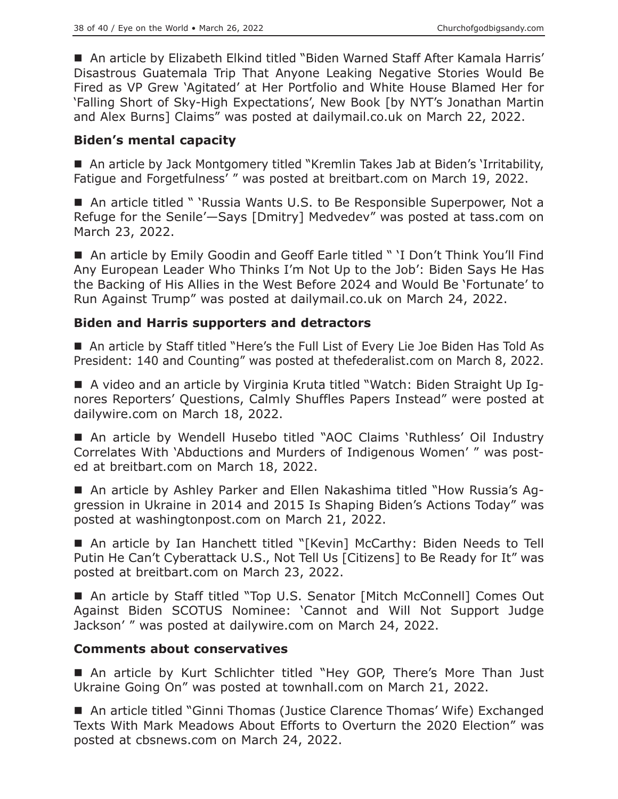■ An article by Elizabeth Elkind titled "Biden Warned Staff After Kamala Harris' Disastrous Guatemala Trip That Anyone Leaking Negative Stories Would Be Fired as VP Grew 'Agitated' at Her Portfolio and White House Blamed Her for 'Falling Short of Sky-High Expectations', New Book [by NYT's Jonathan Martin and Alex Burns] Claims" was posted at dailymail.co.uk on March 22, 2022.

# **Biden's mental capacity**

■ An article by Jack Montgomery titled "Kremlin Takes Jab at Biden's 'Irritability, Fatigue and Forgetfulness' " was posted at breitbart.com on March 19, 2022.

■ An article titled " 'Russia Wants U.S. to Be Responsible Superpower, Not a Refuge for the Senile'—Says [Dmitry] Medvedev" was posted at tass.com on March 23, 2022.

■ An article by Emily Goodin and Geoff Earle titled " 'I Don't Think You'll Find Any European Leader Who Thinks I'm Not Up to the Job': Biden Says He Has the Backing of His Allies in the West Before 2024 and Would Be 'Fortunate' to Run Against Trump" was posted at dailymail.co.uk on March 24, 2022.

# **Biden and Harris supporters and detractors**

■ An article by Staff titled "Here's the Full List of Every Lie Joe Biden Has Told As President: 140 and Counting" was posted at thefederalist.com on March 8, 2022.

 A video and an article by Virginia Kruta titled "Watch: Biden Straight Up Ignores Reporters' Questions, Calmly Shuffles Papers Instead" were posted at dailywire.com on March 18, 2022.

■ An article by Wendell Husebo titled "AOC Claims 'Ruthless' Oil Industry Correlates With 'Abductions and Murders of Indigenous Women' " was posted at breitbart.com on March 18, 2022.

 An article by Ashley Parker and Ellen Nakashima titled "How Russia's Aggression in Ukraine in 2014 and 2015 Is Shaping Biden's Actions Today" was posted at washingtonpost.com on March 21, 2022.

■ An article by Ian Hanchett titled "[Kevin] McCarthy: Biden Needs to Tell Putin He Can't Cyberattack U.S., Not Tell Us [Citizens] to Be Ready for It" was posted at breitbart.com on March 23, 2022.

■ An article by Staff titled "Top U.S. Senator [Mitch McConnell] Comes Out Against Biden SCOTUS Nominee: 'Cannot and Will Not Support Judge Jackson' " was posted at dailywire.com on March 24, 2022.

# **Comments about conservatives**

■ An article by Kurt Schlichter titled "Hey GOP, There's More Than Just Ukraine Going On" was posted at townhall.com on March 21, 2022.

■ An article titled "Ginni Thomas (Justice Clarence Thomas' Wife) Exchanged Texts With Mark Meadows About Efforts to Overturn the 2020 Election" was posted at cbsnews.com on March 24, 2022.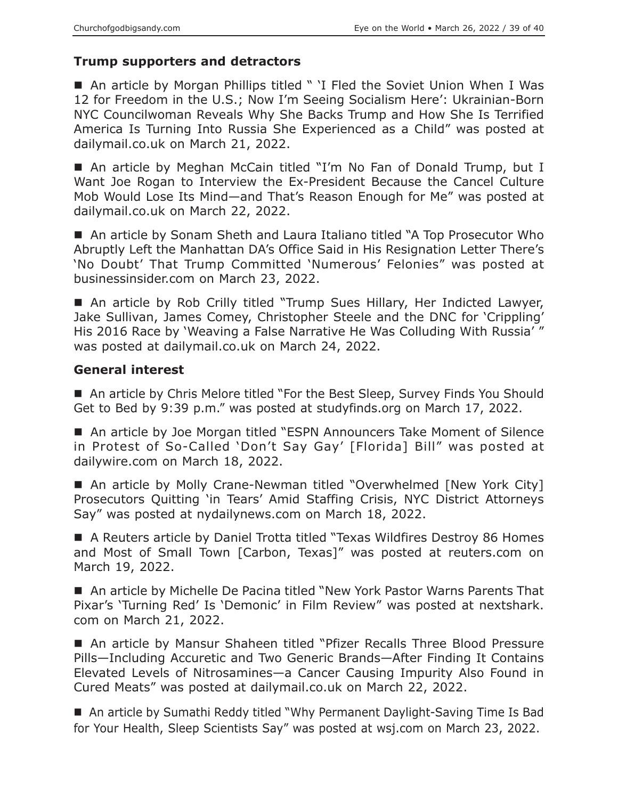# **Trump supporters and detractors**

■ An article by Morgan Phillips titled " 'I Fled the Soviet Union When I Was 12 for Freedom in the U.S.; Now I'm Seeing Socialism Here': Ukrainian-Born NYC Councilwoman Reveals Why She Backs Trump and How She Is Terrified America Is Turning Into Russia She Experienced as a Child" was posted at dailymail.co.uk on March 21, 2022.

■ An article by Meghan McCain titled "I'm No Fan of Donald Trump, but I Want Joe Rogan to Interview the Ex-President Because the Cancel Culture Mob Would Lose Its Mind—and That's Reason Enough for Me" was posted at dailymail.co.uk on March 22, 2022.

■ An article by Sonam Sheth and Laura Italiano titled "A Top Prosecutor Who Abruptly Left the Manhattan DA's Office Said in His Resignation Letter There's 'No Doubt' That Trump Committed 'Numerous' Felonies" was posted at businessinsider.com on March 23, 2022.

■ An article by Rob Crilly titled "Trump Sues Hillary, Her Indicted Lawyer, Jake Sullivan, James Comey, Christopher Steele and the DNC for 'Crippling' His 2016 Race by 'Weaving a False Narrative He Was Colluding With Russia' " was posted at dailymail.co.uk on March 24, 2022.

# **General interest**

■ An article by Chris Melore titled "For the Best Sleep, Survey Finds You Should Get to Bed by 9:39 p.m." was posted at studyfinds.org on March 17, 2022.

■ An article by Joe Morgan titled "ESPN Announcers Take Moment of Silence in Protest of So-Called 'Don't Say Gay' [Florida] Bill" was posted at dailywire.com on March 18, 2022.

■ An article by Molly Crane-Newman titled "Overwhelmed [New York City] Prosecutors Quitting 'in Tears' Amid Staffing Crisis, NYC District Attorneys Say" was posted at nydailynews.com on March 18, 2022.

■ A Reuters article by Daniel Trotta titled "Texas Wildfires Destroy 86 Homes and Most of Small Town [Carbon, Texas]" was posted at reuters.com on March 19, 2022.

■ An article by Michelle De Pacina titled "New York Pastor Warns Parents That Pixar's 'Turning Red' Is 'Demonic' in Film Review" was posted at nextshark. com on March 21, 2022.

■ An article by Mansur Shaheen titled "Pfizer Recalls Three Blood Pressure Pills—Including Accuretic and Two Generic Brands—After Finding It Contains Elevated Levels of Nitrosamines—a Cancer Causing Impurity Also Found in Cured Meats" was posted at dailymail.co.uk on March 22, 2022.

■ An article by Sumathi Reddy titled "Why Permanent Daylight-Saving Time Is Bad for Your Health, Sleep Scientists Say" was posted at wsj.com on March 23, 2022.